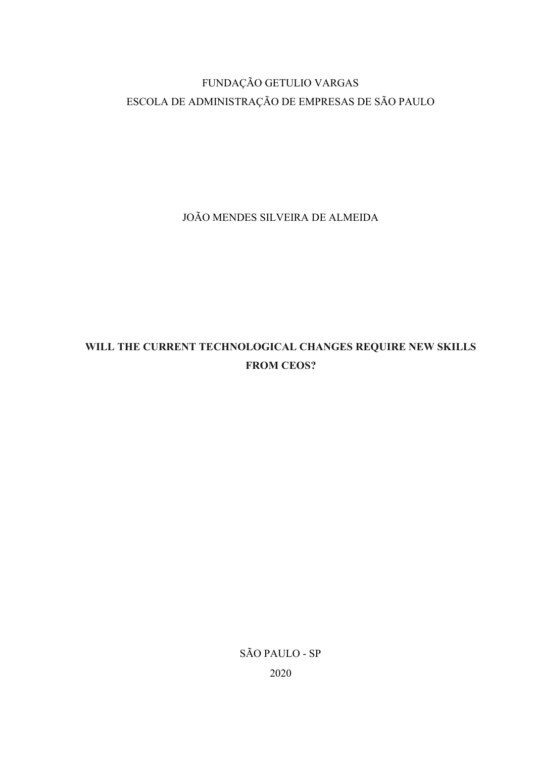# FUNDAÇÃO GETULIO VARGAS ESCOLA DE ADMINISTRAÇÃO DE EMPRESAS DE SÃO PAULO

JOÃO MENDES SILVEIRA DE ALMEIDA

# WILL THE CURRENT TECHNOLOGICAL CHANGES REQUIRE NEW SKILLS FROM CEOS?

SÃO PAULO - SP 2020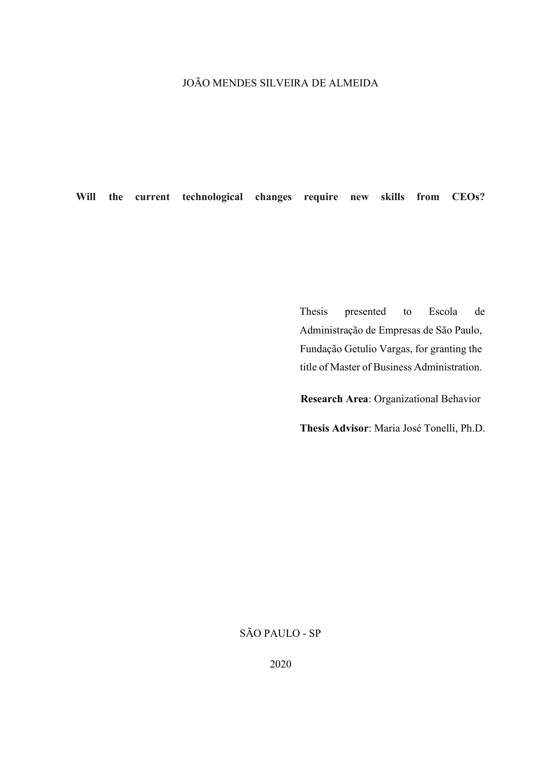## JOÃO MENDES SILVEIRA DE ALMEIDA

Will the current technological changes require new skills from CEOs?

Thesis presented to Escola de Administração de Empresas de São Paulo, Fundação Getulio Vargas, for granting the title of Master of Business Administration.

Research Area: Organizational Behavior

Thesis Advisor: Maria José Tonelli, Ph.D.

## SÃO PAULO - SP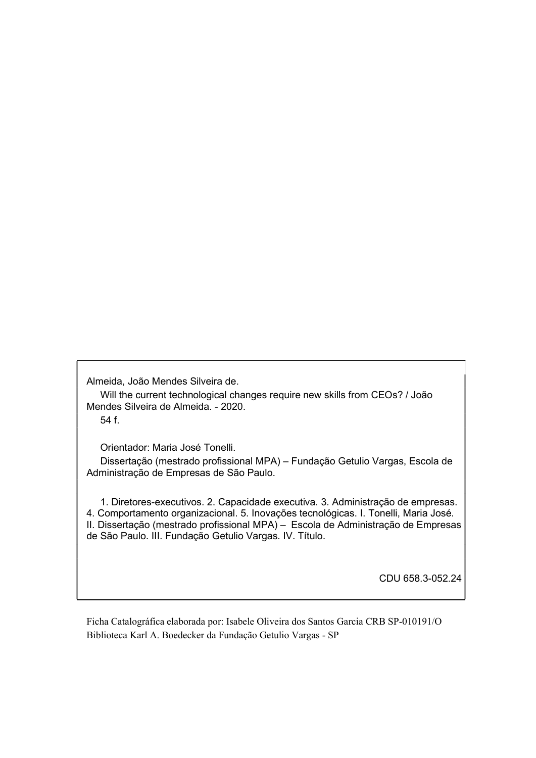Almeida, João Mendes Silveira de.

 Will the current technological changes require new skills from CEOs? / João Mendes Silveira de Almeida. - 2020.

54 f.

Orientador: Maria José Tonelli.

 Dissertação (mestrado profissional MPA) – Fundação Getulio Vargas, Escola de Administração de Empresas de São Paulo.

 1. Diretores-executivos. 2. Capacidade executiva. 3. Administração de empresas. 4. Comportamento organizacional. 5. Inovações tecnológicas. I. Tonelli, Maria José. II. Dissertação (mestrado profissional MPA) – Escola de Administração de Empresas de São Paulo. III. Fundação Getulio Vargas. IV. Título.

CDU 658.3-052.24

Ficha Catalográfica elaborada por: Isabele Oliveira dos Santos Garcia CRB SP-010191/O Biblioteca Karl A. Boedecker da Fundação Getulio Vargas - SP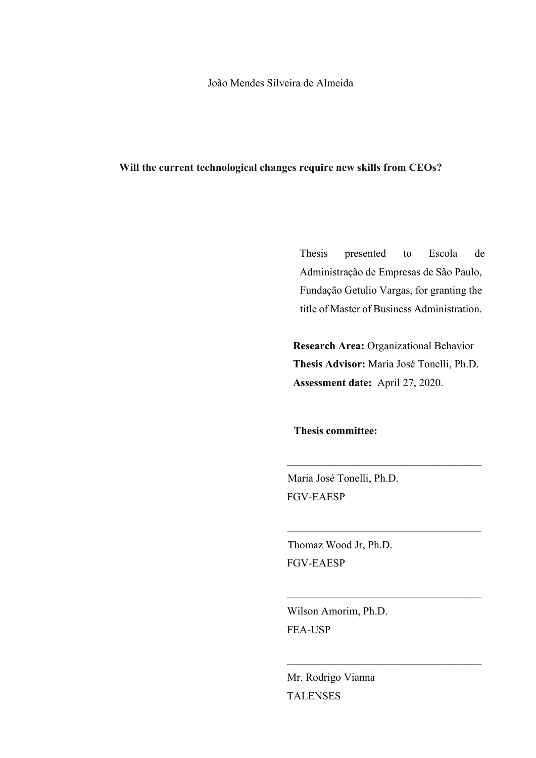João Mendes Silveira de Almeida

#### Will the current technological changes require new skills from CEOs?

Thesis presented to Escola de Administração de Empresas de São Paulo, Fundação Getulio Vargas, for granting the title of Master of Business Administration.

Research Area: Organizational Behavior Thesis Advisor: Maria José Tonelli, Ph.D. Assessment date: April 27, 2020.

Thesis committee:

Maria José Tonelli, Ph.D. FGV-EAESP

Thomaz Wood Jr, Ph.D. FGV-EAESP

Wilson Amorim, Ph.D. FEA-USP

Mr. Rodrigo Vianna TALENSES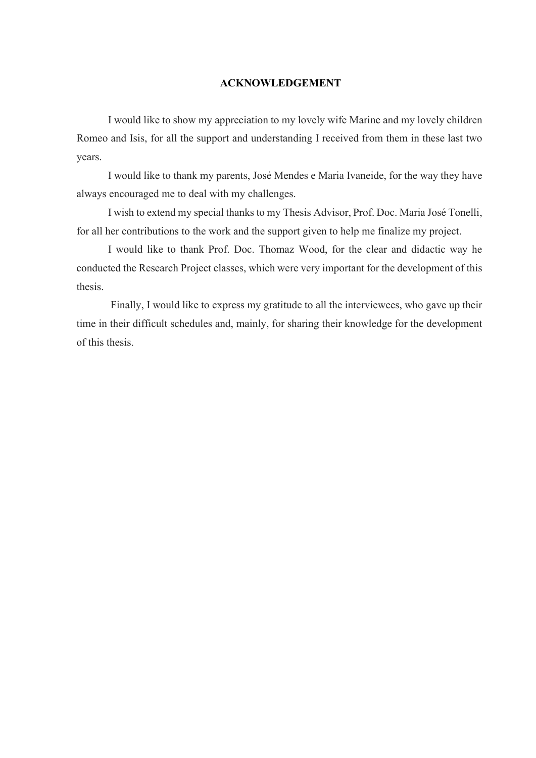#### ACKNOWLEDGEMENT

I would like to show my appreciation to my lovely wife Marine and my lovely children Romeo and Isis, for all the support and understanding I received from them in these last two years.

I would like to thank my parents, José Mendes e Maria Ivaneide, for the way they have always encouraged me to deal with my challenges.

I wish to extend my special thanks to my Thesis Advisor, Prof. Doc. Maria José Tonelli, for all her contributions to the work and the support given to help me finalize my project.

I would like to thank Prof. Doc. Thomaz Wood, for the clear and didactic way he conducted the Research Project classes, which were very important for the development of this thesis.

 Finally, I would like to express my gratitude to all the interviewees, who gave up their time in their difficult schedules and, mainly, for sharing their knowledge for the development of this thesis.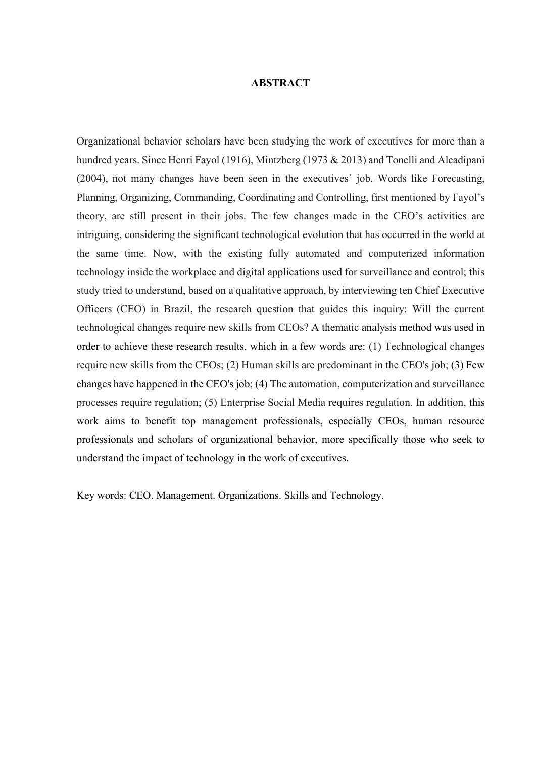#### ABSTRACT

Organizational behavior scholars have been studying the work of executives for more than a hundred years. Since Henri Fayol (1916), Mintzberg (1973 & 2013) and Tonelli and Alcadipani (2004), not many changes have been seen in the executives´ job. Words like Forecasting, Planning, Organizing, Commanding, Coordinating and Controlling, first mentioned by Fayol's theory, are still present in their jobs. The few changes made in the CEO's activities are intriguing, considering the significant technological evolution that has occurred in the world at the same time. Now, with the existing fully automated and computerized information technology inside the workplace and digital applications used for surveillance and control; this study tried to understand, based on a qualitative approach, by interviewing ten Chief Executive Officers (CEO) in Brazil, the research question that guides this inquiry: Will the current technological changes require new skills from CEOs? A thematic analysis method was used in order to achieve these research results, which in a few words are: (1) Technological changes require new skills from the CEOs; (2) Human skills are predominant in the CEO's job; (3) Few changes have happened in the CEO's job; (4) The automation, computerization and surveillance processes require regulation; (5) Enterprise Social Media requires regulation. In addition, this work aims to benefit top management professionals, especially CEOs, human resource professionals and scholars of organizational behavior, more specifically those who seek to understand the impact of technology in the work of executives.

Key words: CEO. Management. Organizations. Skills and Technology.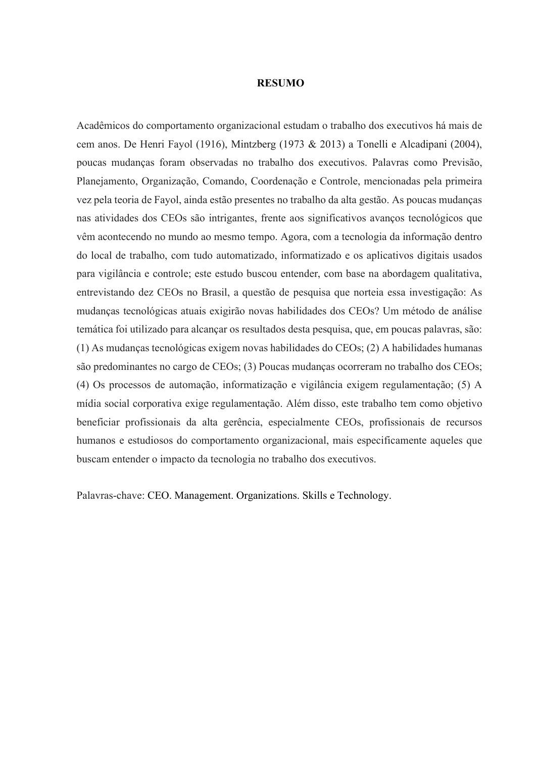#### RESUMO

Acadêmicos do comportamento organizacional estudam o trabalho dos executivos há mais de cem anos. De Henri Fayol (1916), Mintzberg (1973 & 2013) a Tonelli e Alcadipani (2004), poucas mudanças foram observadas no trabalho dos executivos. Palavras como Previsão, Planejamento, Organização, Comando, Coordenação e Controle, mencionadas pela primeira vez pela teoria de Fayol, ainda estão presentes no trabalho da alta gestão. As poucas mudanças nas atividades dos CEOs são intrigantes, frente aos significativos avanços tecnológicos que vêm acontecendo no mundo ao mesmo tempo. Agora, com a tecnologia da informação dentro do local de trabalho, com tudo automatizado, informatizado e os aplicativos digitais usados para vigilância e controle; este estudo buscou entender, com base na abordagem qualitativa, entrevistando dez CEOs no Brasil, a questão de pesquisa que norteia essa investigação: As mudanças tecnológicas atuais exigirão novas habilidades dos CEOs? Um método de análise temática foi utilizado para alcançar os resultados desta pesquisa, que, em poucas palavras, são: (1) As mudanças tecnológicas exigem novas habilidades do CEOs; (2) A habilidades humanas são predominantes no cargo de CEOs; (3) Poucas mudanças ocorreram no trabalho dos CEOs; (4) Os processos de automação, informatização e vigilância exigem regulamentação; (5) A mídia social corporativa exige regulamentação. Além disso, este trabalho tem como objetivo beneficiar profissionais da alta gerência, especialmente CEOs, profissionais de recursos humanos e estudiosos do comportamento organizacional, mais especificamente aqueles que buscam entender o impacto da tecnologia no trabalho dos executivos.

Palavras-chave: CEO. Management. Organizations. Skills e Technology.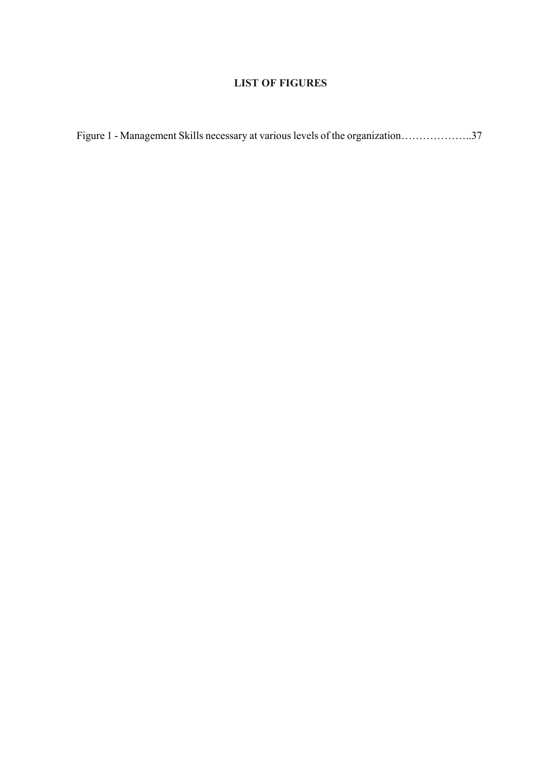## LIST OF FIGURES

| Figure 1 - Management Skills necessary at various levels of the organization37 |  |  |
|--------------------------------------------------------------------------------|--|--|
|                                                                                |  |  |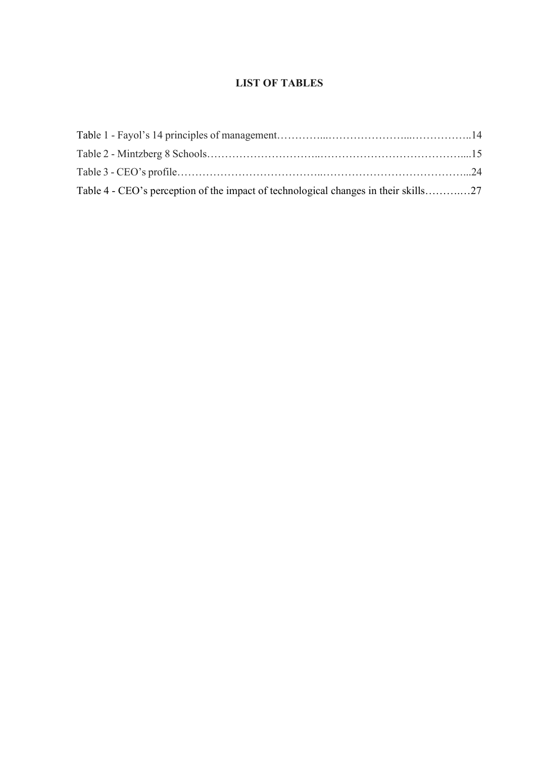### LIST OF TABLES

| Table 4 - CEO's perception of the impact of technological changes in their skills27 |  |
|-------------------------------------------------------------------------------------|--|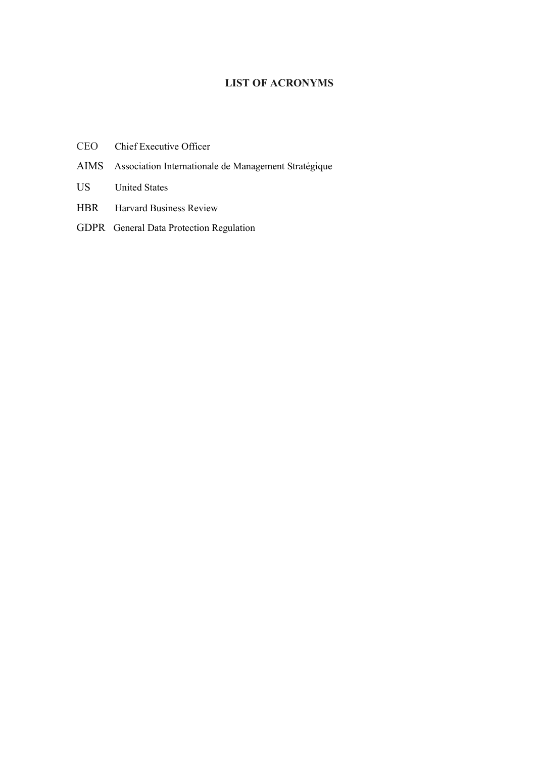## LIST OF ACRONYMS

- CEO Chief Executive Officer
- AIMS Association Internationale de Management Stratégique
- US United States
- HBR Harvard Business Review
- GDPR General Data Protection Regulation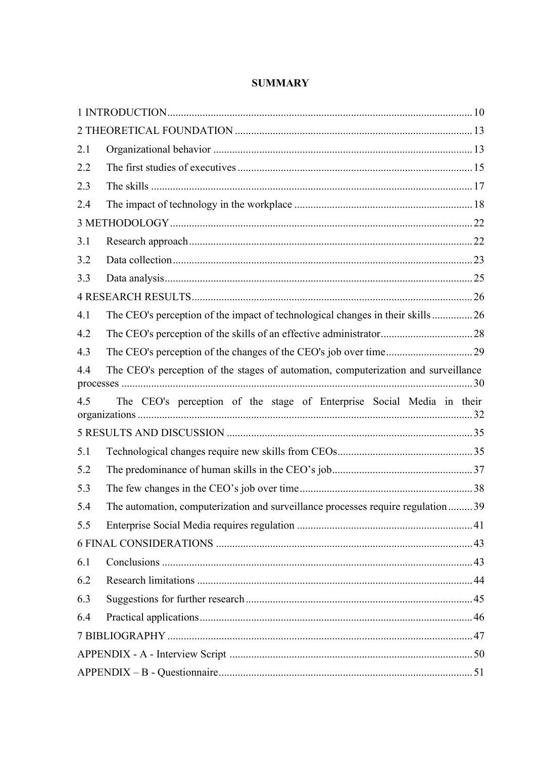| 2.1 |                                                                                    |  |
|-----|------------------------------------------------------------------------------------|--|
| 2.2 |                                                                                    |  |
| 2.3 |                                                                                    |  |
| 2.4 |                                                                                    |  |
|     |                                                                                    |  |
| 3.1 |                                                                                    |  |
| 3.2 |                                                                                    |  |
| 3.3 |                                                                                    |  |
|     |                                                                                    |  |
| 4.1 | The CEO's perception of the impact of technological changes in their skills26      |  |
| 4.2 |                                                                                    |  |
| 4.3 |                                                                                    |  |
| 4.4 | The CEO's perception of the stages of automation, computerization and surveillance |  |
|     |                                                                                    |  |
| 4.5 | The CEO's perception of the stage of Enterprise Social Media in their              |  |
|     |                                                                                    |  |
| 5.1 |                                                                                    |  |
| 5.2 |                                                                                    |  |
| 5.3 |                                                                                    |  |
| 5.4 | The automation, computerization and surveillance processes require regulation  39  |  |
| 5.5 |                                                                                    |  |
|     |                                                                                    |  |
| 6.1 |                                                                                    |  |
| 6.2 |                                                                                    |  |
| 6.3 |                                                                                    |  |
| 6.4 |                                                                                    |  |
|     |                                                                                    |  |
|     |                                                                                    |  |

## **SUMMARY**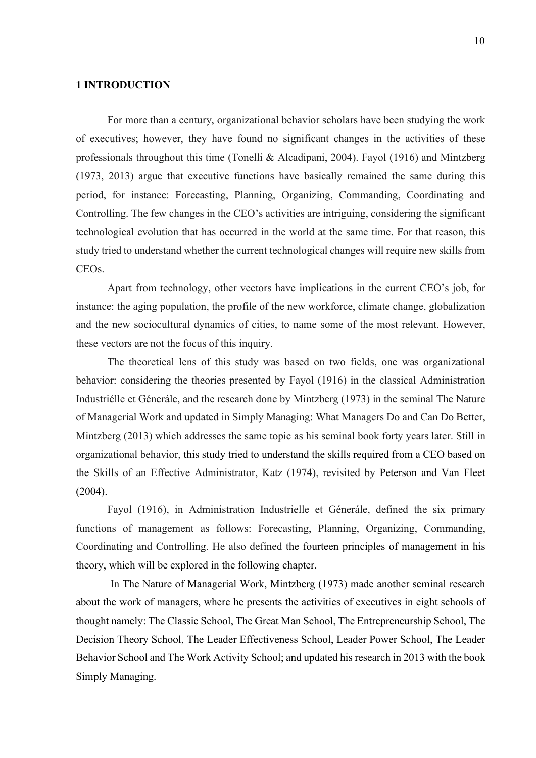#### 1 INTRODUCTION

For more than a century, organizational behavior scholars have been studying the work of executives; however, they have found no significant changes in the activities of these professionals throughout this time (Tonelli & Alcadipani, 2004). Fayol (1916) and Mintzberg (1973, 2013) argue that executive functions have basically remained the same during this period, for instance: Forecasting, Planning, Organizing, Commanding, Coordinating and Controlling. The few changes in the CEO's activities are intriguing, considering the significant technological evolution that has occurred in the world at the same time. For that reason, this study tried to understand whether the current technological changes will require new skills from CEOs.

Apart from technology, other vectors have implications in the current CEO's job, for instance: the aging population, the profile of the new workforce, climate change, globalization and the new sociocultural dynamics of cities, to name some of the most relevant. However, these vectors are not the focus of this inquiry.

The theoretical lens of this study was based on two fields, one was organizational behavior: considering the theories presented by Fayol (1916) in the classical Administration Industriélle et Génerále, and the research done by Mintzberg (1973) in the seminal The Nature of Managerial Work and updated in Simply Managing: What Managers Do and Can Do Better, Mintzberg (2013) which addresses the same topic as his seminal book forty years later. Still in organizational behavior, this study tried to understand the skills required from a CEO based on the Skills of an Effective Administrator, Katz (1974), revisited by Peterson and Van Fleet (2004).

Fayol (1916), in Administration Industrielle et Génerále, defined the six primary functions of management as follows: Forecasting, Planning, Organizing, Commanding, Coordinating and Controlling. He also defined the fourteen principles of management in his theory, which will be explored in the following chapter.

 In The Nature of Managerial Work, Mintzberg (1973) made another seminal research about the work of managers, where he presents the activities of executives in eight schools of thought namely: The Classic School, The Great Man School, The Entrepreneurship School, The Decision Theory School, The Leader Effectiveness School, Leader Power School, The Leader Behavior School and The Work Activity School; and updated his research in 2013 with the book Simply Managing.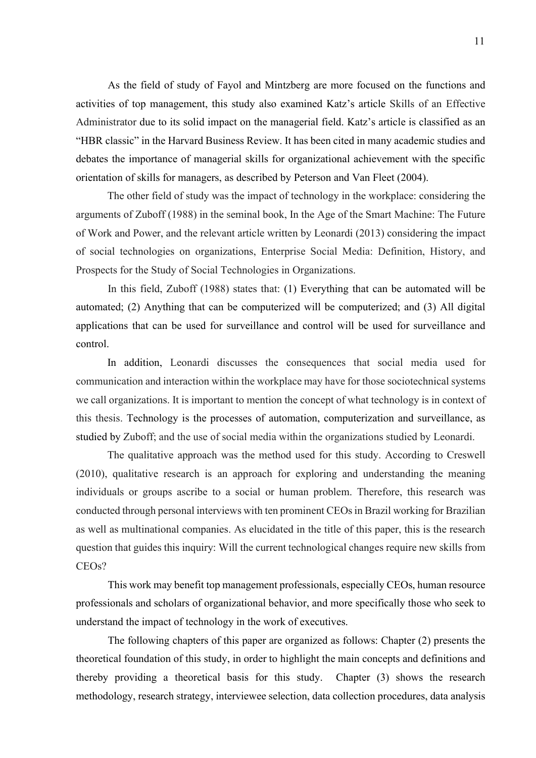As the field of study of Fayol and Mintzberg are more focused on the functions and activities of top management, this study also examined Katz's article Skills of an Effective Administrator due to its solid impact on the managerial field. Katz's article is classified as an "HBR classic" in the Harvard Business Review. It has been cited in many academic studies and debates the importance of managerial skills for organizational achievement with the specific orientation of skills for managers, as described by Peterson and Van Fleet (2004).

The other field of study was the impact of technology in the workplace: considering the arguments of Zuboff (1988) in the seminal book, In the Age of the Smart Machine: The Future of Work and Power, and the relevant article written by Leonardi (2013) considering the impact of social technologies on organizations, Enterprise Social Media: Definition, History, and Prospects for the Study of Social Technologies in Organizations.

In this field, Zuboff (1988) states that: (1) Everything that can be automated will be automated; (2) Anything that can be computerized will be computerized; and (3) All digital applications that can be used for surveillance and control will be used for surveillance and control.

In addition, Leonardi discusses the consequences that social media used for communication and interaction within the workplace may have for those sociotechnical systems we call organizations. It is important to mention the concept of what technology is in context of this thesis. Technology is the processes of automation, computerization and surveillance, as studied by Zuboff; and the use of social media within the organizations studied by Leonardi.

The qualitative approach was the method used for this study. According to Creswell (2010), qualitative research is an approach for exploring and understanding the meaning individuals or groups ascribe to a social or human problem. Therefore, this research was conducted through personal interviews with ten prominent CEOs in Brazil working for Brazilian as well as multinational companies. As elucidated in the title of this paper, this is the research question that guides this inquiry: Will the current technological changes require new skills from CEOs?

This work may benefit top management professionals, especially CEOs, human resource professionals and scholars of organizational behavior, and more specifically those who seek to understand the impact of technology in the work of executives.

The following chapters of this paper are organized as follows: Chapter (2) presents the theoretical foundation of this study, in order to highlight the main concepts and definitions and thereby providing a theoretical basis for this study. Chapter (3) shows the research methodology, research strategy, interviewee selection, data collection procedures, data analysis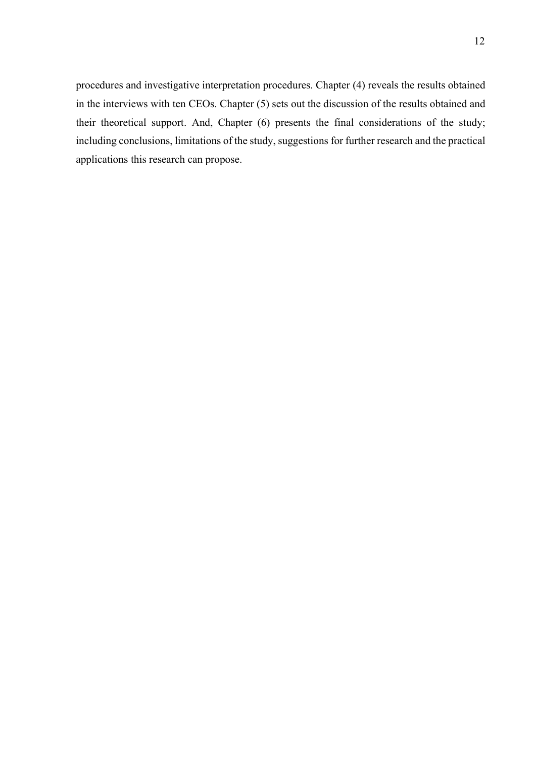procedures and investigative interpretation procedures. Chapter (4) reveals the results obtained in the interviews with ten CEOs. Chapter (5) sets out the discussion of the results obtained and their theoretical support. And, Chapter (6) presents the final considerations of the study; including conclusions, limitations of the study, suggestions for further research and the practical applications this research can propose.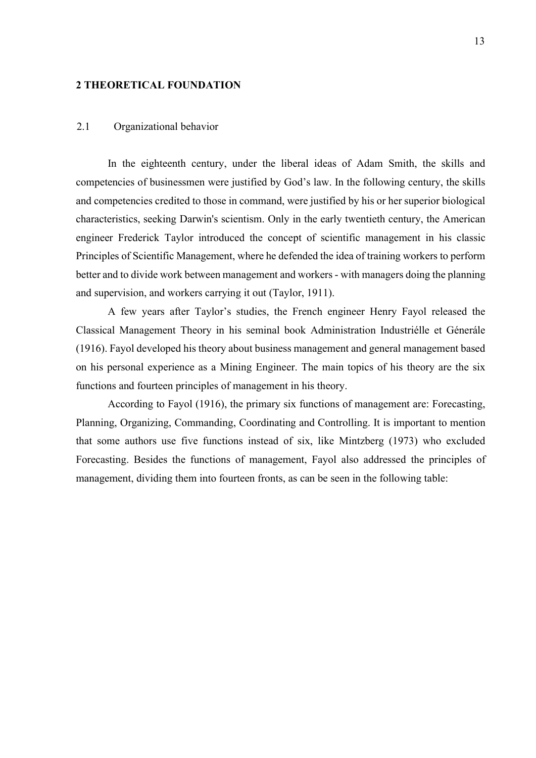#### 2 THEORETICAL FOUNDATION

#### 2.1 Organizational behavior

In the eighteenth century, under the liberal ideas of Adam Smith, the skills and competencies of businessmen were justified by God's law. In the following century, the skills and competencies credited to those in command, were justified by his or her superior biological characteristics, seeking Darwin's scientism. Only in the early twentieth century, the American engineer Frederick Taylor introduced the concept of scientific management in his classic Principles of Scientific Management, where he defended the idea of training workers to perform better and to divide work between management and workers - with managers doing the planning and supervision, and workers carrying it out (Taylor, 1911).

A few years after Taylor's studies, the French engineer Henry Fayol released the Classical Management Theory in his seminal book Administration Industriélle et Génerále (1916). Fayol developed his theory about business management and general management based on his personal experience as a Mining Engineer. The main topics of his theory are the six functions and fourteen principles of management in his theory.

According to Fayol (1916), the primary six functions of management are: Forecasting, Planning, Organizing, Commanding, Coordinating and Controlling. It is important to mention that some authors use five functions instead of six, like Mintzberg (1973) who excluded Forecasting. Besides the functions of management, Fayol also addressed the principles of management, dividing them into fourteen fronts, as can be seen in the following table: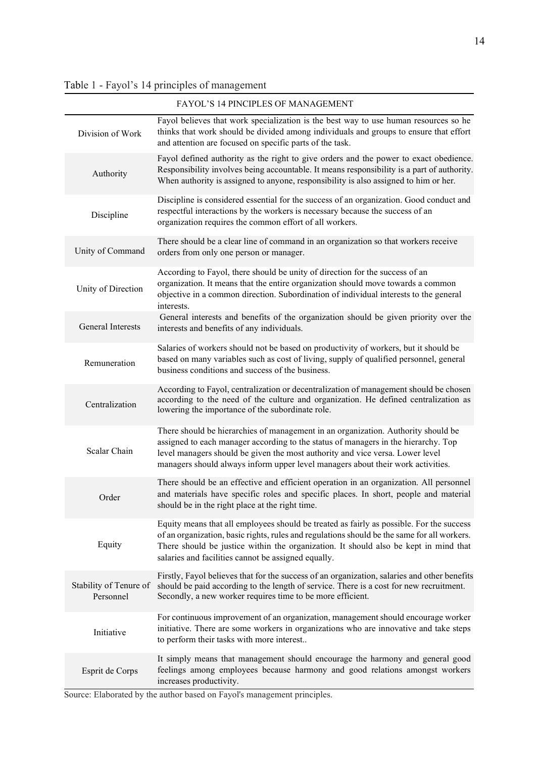## Table 1 - Fayol's 14 principles of management

|                                     | FAYOL'S 14 PINCIPLES OF MANAGEMENT                                                                                                                                                                                                                                                                                                          |
|-------------------------------------|---------------------------------------------------------------------------------------------------------------------------------------------------------------------------------------------------------------------------------------------------------------------------------------------------------------------------------------------|
| Division of Work                    | Fayol believes that work specialization is the best way to use human resources so he<br>thinks that work should be divided among individuals and groups to ensure that effort<br>and attention are focused on specific parts of the task.                                                                                                   |
| Authority                           | Fayol defined authority as the right to give orders and the power to exact obedience.<br>Responsibility involves being accountable. It means responsibility is a part of authority.<br>When authority is assigned to anyone, responsibility is also assigned to him or her.                                                                 |
| Discipline                          | Discipline is considered essential for the success of an organization. Good conduct and<br>respectful interactions by the workers is necessary because the success of an<br>organization requires the common effort of all workers.                                                                                                         |
| Unity of Command                    | There should be a clear line of command in an organization so that workers receive<br>orders from only one person or manager.                                                                                                                                                                                                               |
| Unity of Direction                  | According to Fayol, there should be unity of direction for the success of an<br>organization. It means that the entire organization should move towards a common<br>objective in a common direction. Subordination of individual interests to the general<br>interests.                                                                     |
| <b>General Interests</b>            | General interests and benefits of the organization should be given priority over the<br>interests and benefits of any individuals.                                                                                                                                                                                                          |
| Remuneration                        | Salaries of workers should not be based on productivity of workers, but it should be<br>based on many variables such as cost of living, supply of qualified personnel, general<br>business conditions and success of the business.                                                                                                          |
| Centralization                      | According to Fayol, centralization or decentralization of management should be chosen<br>according to the need of the culture and organization. He defined centralization as<br>lowering the importance of the subordinate role.                                                                                                            |
| Scalar Chain                        | There should be hierarchies of management in an organization. Authority should be<br>assigned to each manager according to the status of managers in the hierarchy. Top<br>level managers should be given the most authority and vice versa. Lower level<br>managers should always inform upper level managers about their work activities. |
| Order                               | There should be an effective and efficient operation in an organization. All personnel<br>and materials have specific roles and specific places. In short, people and material<br>should be in the right place at the right time.                                                                                                           |
| Equity                              | Equity means that all employees should be treated as fairly as possible. For the success<br>of an organization, basic rights, rules and regulations should be the same for all workers.<br>There should be justice within the organization. It should also be kept in mind that<br>salaries and facilities cannot be assigned equally.      |
| Stability of Tenure of<br>Personnel | Firstly, Fayol believes that for the success of an organization, salaries and other benefits<br>should be paid according to the length of service. There is a cost for new recruitment.<br>Secondly, a new worker requires time to be more efficient.                                                                                       |
| Initiative                          | For continuous improvement of an organization, management should encourage worker<br>initiative. There are some workers in organizations who are innovative and take steps<br>to perform their tasks with more interest                                                                                                                     |
| Esprit de Corps                     | It simply means that management should encourage the harmony and general good<br>feelings among employees because harmony and good relations amongst workers<br>increases productivity.                                                                                                                                                     |

Source: Elaborated by the author based on Fayol's management principles.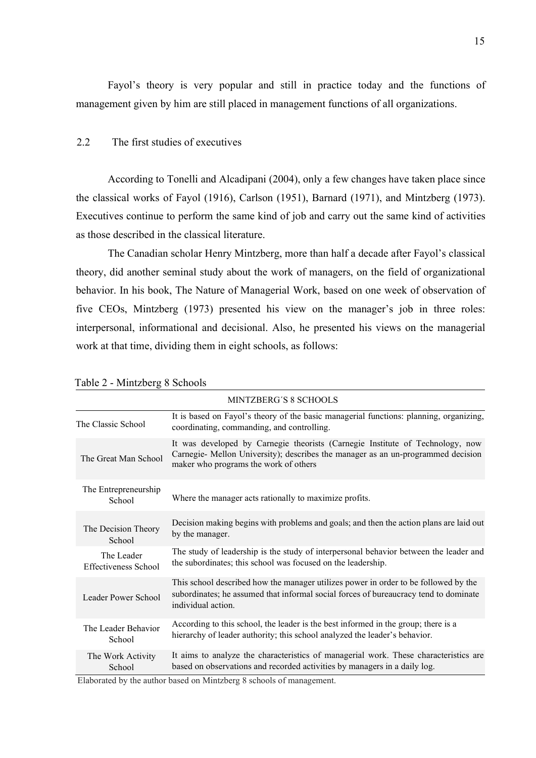Fayol's theory is very popular and still in practice today and the functions of management given by him are still placed in management functions of all organizations.

#### 2.2 The first studies of executives

According to Tonelli and Alcadipani (2004), only a few changes have taken place since the classical works of Fayol (1916), Carlson (1951), Barnard (1971), and Mintzberg (1973). Executives continue to perform the same kind of job and carry out the same kind of activities as those described in the classical literature.

The Canadian scholar Henry Mintzberg, more than half a decade after Fayol's classical theory, did another seminal study about the work of managers, on the field of organizational behavior. In his book, The Nature of Managerial Work, based on one week of observation of five CEOs, Mintzberg (1973) presented his view on the manager's job in three roles: interpersonal, informational and decisional. Also, he presented his views on the managerial work at that time, dividing them in eight schools, as follows:

|                                    | MINTZBERG'S 8 SCHOOLS                                                                                                                                                                                      |
|------------------------------------|------------------------------------------------------------------------------------------------------------------------------------------------------------------------------------------------------------|
| The Classic School                 | It is based on Fayol's theory of the basic managerial functions: planning, organizing,<br>coordinating, commanding, and controlling.                                                                       |
| The Great Man School               | It was developed by Carnegie theorists (Carnegie Institute of Technology, now<br>Carnegie- Mellon University); describes the manager as an un-programmed decision<br>maker who programs the work of others |
| The Entrepreneurship<br>School     | Where the manager acts rationally to maximize profits.                                                                                                                                                     |
| The Decision Theory<br>School      | Decision making begins with problems and goals; and then the action plans are laid out<br>by the manager.                                                                                                  |
| The Leader<br>Effectiveness School | The study of leadership is the study of interpersonal behavior between the leader and<br>the subordinates; this school was focused on the leadership.                                                      |
| Leader Power School                | This school described how the manager utilizes power in order to be followed by the<br>subordinates; he assumed that informal social forces of bureaucracy tend to dominate<br>individual action.          |
| The Leader Behavior<br>School      | According to this school, the leader is the best informed in the group; there is a<br>hierarchy of leader authority; this school analyzed the leader's behavior.                                           |
| The Work Activity<br>School        | It aims to analyze the characteristics of managerial work. These characteristics are<br>based on observations and recorded activities by managers in a daily log.                                          |

Table 2 - Mintzberg 8 Schools

Elaborated by the author based on Mintzberg 8 schools of management.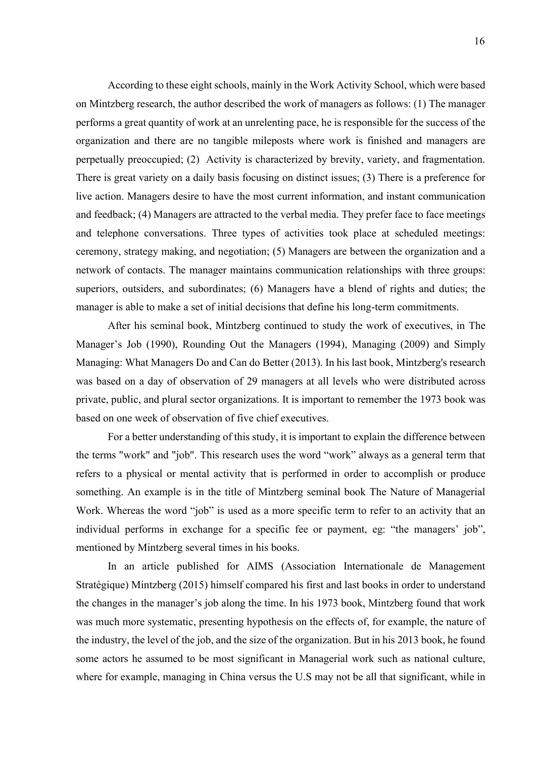According to these eight schools, mainly in the Work Activity School, which were based on Mintzberg research, the author described the work of managers as follows: (1) The manager performs a great quantity of work at an unrelenting pace, he is responsible for the success of the organization and there are no tangible mileposts where work is finished and managers are perpetually preoccupied; (2) Activity is characterized by brevity, variety, and fragmentation. There is great variety on a daily basis focusing on distinct issues; (3) There is a preference for live action. Managers desire to have the most current information, and instant communication and feedback; (4) Managers are attracted to the verbal media. They prefer face to face meetings and telephone conversations. Three types of activities took place at scheduled meetings: ceremony, strategy making, and negotiation; (5) Managers are between the organization and a network of contacts. The manager maintains communication relationships with three groups: superiors, outsiders, and subordinates; (6) Managers have a blend of rights and duties; the manager is able to make a set of initial decisions that define his long-term commitments.

After his seminal book, Mintzberg continued to study the work of executives, in The Manager's Job (1990), Rounding Out the Managers (1994), Managing (2009) and Simply Managing: What Managers Do and Can do Better (2013). In his last book, Mintzberg's research was based on a day of observation of 29 managers at all levels who were distributed across private, public, and plural sector organizations. It is important to remember the 1973 book was based on one week of observation of five chief executives.

For a better understanding of this study, it is important to explain the difference between the terms "work" and "job". This research uses the word "work" always as a general term that refers to a physical or mental activity that is performed in order to accomplish or produce something. An example is in the title of Mintzberg seminal book The Nature of Managerial Work. Whereas the word "job" is used as a more specific term to refer to an activity that an individual performs in exchange for a specific fee or payment, eg: "the managers' job", mentioned by Mintzberg several times in his books.

In an article published for AIMS (Association Internationale de Management Stratégique) Mintzberg (2015) himself compared his first and last books in order to understand the changes in the manager's job along the time. In his 1973 book, Mintzberg found that work was much more systematic, presenting hypothesis on the effects of, for example, the nature of the industry, the level of the job, and the size of the organization. But in his 2013 book, he found some actors he assumed to be most significant in Managerial work such as national culture, where for example, managing in China versus the U.S may not be all that significant, while in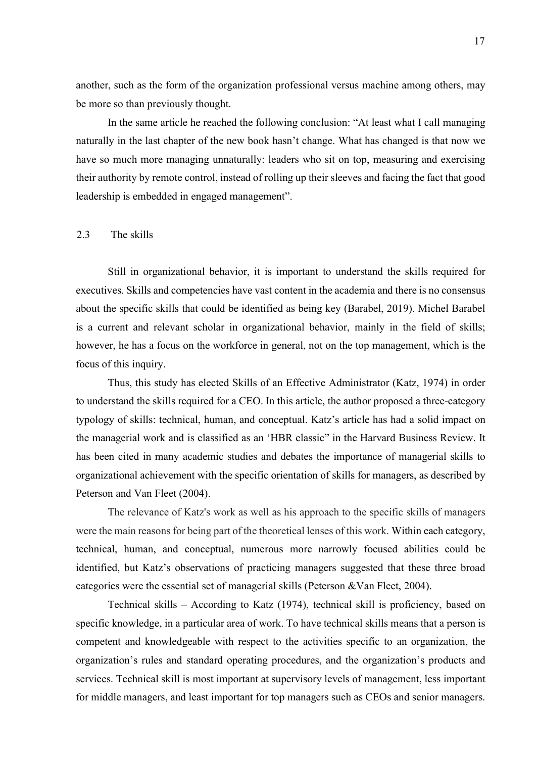another, such as the form of the organization professional versus machine among others, may be more so than previously thought.

In the same article he reached the following conclusion: "At least what I call managing naturally in the last chapter of the new book hasn't change. What has changed is that now we have so much more managing unnaturally: leaders who sit on top, measuring and exercising their authority by remote control, instead of rolling up their sleeves and facing the fact that good leadership is embedded in engaged management".

#### 2.3 The skills

Still in organizational behavior, it is important to understand the skills required for executives. Skills and competencies have vast content in the academia and there is no consensus about the specific skills that could be identified as being key (Barabel, 2019). Michel Barabel is a current and relevant scholar in organizational behavior, mainly in the field of skills; however, he has a focus on the workforce in general, not on the top management, which is the focus of this inquiry.

Thus, this study has elected Skills of an Effective Administrator (Katz, 1974) in order to understand the skills required for a CEO. In this article, the author proposed a three-category typology of skills: technical, human, and conceptual. Katz's article has had a solid impact on the managerial work and is classified as an 'HBR classic" in the Harvard Business Review. It has been cited in many academic studies and debates the importance of managerial skills to organizational achievement with the specific orientation of skills for managers, as described by Peterson and Van Fleet (2004).

The relevance of Katz's work as well as his approach to the specific skills of managers were the main reasons for being part of the theoretical lenses of this work. Within each category, technical, human, and conceptual, numerous more narrowly focused abilities could be identified, but Katz's observations of practicing managers suggested that these three broad categories were the essential set of managerial skills (Peterson &Van Fleet, 2004).

Technical skills – According to Katz (1974), technical skill is proficiency, based on specific knowledge, in a particular area of work. To have technical skills means that a person is competent and knowledgeable with respect to the activities specific to an organization, the organization's rules and standard operating procedures, and the organization's products and services. Technical skill is most important at supervisory levels of management, less important for middle managers, and least important for top managers such as CEOs and senior managers.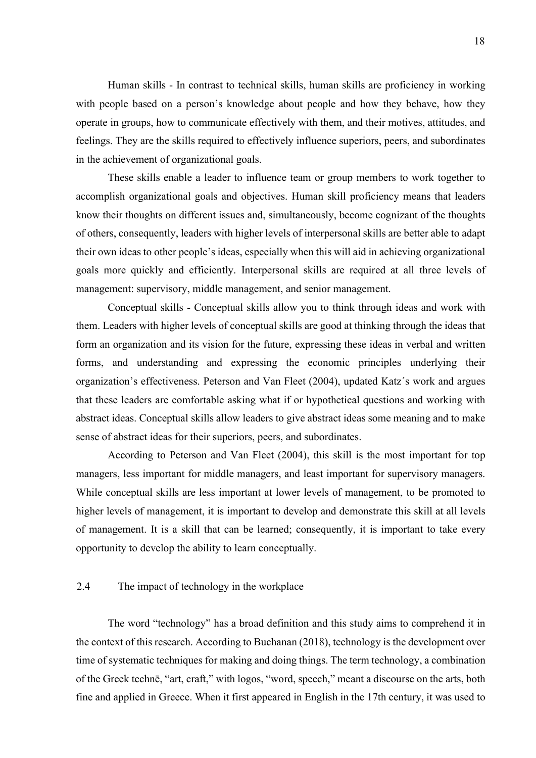Human skills - In contrast to technical skills, human skills are proficiency in working with people based on a person's knowledge about people and how they behave, how they operate in groups, how to communicate effectively with them, and their motives, attitudes, and feelings. They are the skills required to effectively influence superiors, peers, and subordinates in the achievement of organizational goals.

These skills enable a leader to influence team or group members to work together to accomplish organizational goals and objectives. Human skill proficiency means that leaders know their thoughts on different issues and, simultaneously, become cognizant of the thoughts of others, consequently, leaders with higher levels of interpersonal skills are better able to adapt their own ideas to other people's ideas, especially when this will aid in achieving organizational goals more quickly and efficiently. Interpersonal skills are required at all three levels of management: supervisory, middle management, and senior management.

Conceptual skills - Conceptual skills allow you to think through ideas and work with them. Leaders with higher levels of conceptual skills are good at thinking through the ideas that form an organization and its vision for the future, expressing these ideas in verbal and written forms, and understanding and expressing the economic principles underlying their organization's effectiveness. Peterson and Van Fleet (2004), updated Katz´s work and argues that these leaders are comfortable asking what if or hypothetical questions and working with abstract ideas. Conceptual skills allow leaders to give abstract ideas some meaning and to make sense of abstract ideas for their superiors, peers, and subordinates.

According to Peterson and Van Fleet (2004), this skill is the most important for top managers, less important for middle managers, and least important for supervisory managers. While conceptual skills are less important at lower levels of management, to be promoted to higher levels of management, it is important to develop and demonstrate this skill at all levels of management. It is a skill that can be learned; consequently, it is important to take every opportunity to develop the ability to learn conceptually.

#### 2.4 The impact of technology in the workplace

The word "technology" has a broad definition and this study aims to comprehend it in the context of this research. According to Buchanan (2018), technology is the development over time of systematic techniques for making and doing things. The term technology, a combination of the Greek technē, "art, craft," with logos, "word, speech," meant a discourse on the arts, both fine and applied in Greece. When it first appeared in English in the 17th century, it was used to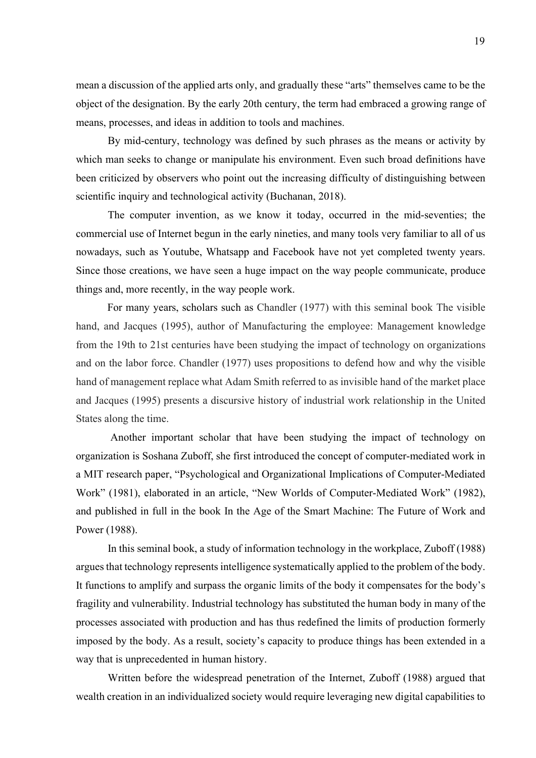mean a discussion of the applied arts only, and gradually these "arts" themselves came to be the object of the designation. By the early 20th century, the term had embraced a growing range of means, processes, and ideas in addition to tools and machines.

By mid-century, technology was defined by such phrases as the means or activity by which man seeks to change or manipulate his environment. Even such broad definitions have been criticized by observers who point out the increasing difficulty of distinguishing between scientific inquiry and technological activity (Buchanan, 2018).

The computer invention, as we know it today, occurred in the mid-seventies; the commercial use of Internet begun in the early nineties, and many tools very familiar to all of us nowadays, such as Youtube, Whatsapp and Facebook have not yet completed twenty years. Since those creations, we have seen a huge impact on the way people communicate, produce things and, more recently, in the way people work.

For many years, scholars such as Chandler (1977) with this seminal book The visible hand, and Jacques (1995), author of Manufacturing the employee: Management knowledge from the 19th to 21st centuries have been studying the impact of technology on organizations and on the labor force. Chandler (1977) uses propositions to defend how and why the visible hand of management replace what Adam Smith referred to as invisible hand of the market place and Jacques (1995) presents a discursive history of industrial work relationship in the United States along the time.

 Another important scholar that have been studying the impact of technology on organization is Soshana Zuboff, she first introduced the concept of computer-mediated work in a MIT research paper, "Psychological and Organizational Implications of Computer-Mediated Work" (1981), elaborated in an article, "New Worlds of Computer-Mediated Work" (1982), and published in full in the book In the Age of the Smart Machine: The Future of Work and Power (1988).

In this seminal book, a study of information technology in the workplace, Zuboff (1988) argues that technology represents intelligence systematically applied to the problem of the body. It functions to amplify and surpass the organic limits of the body it compensates for the body's fragility and vulnerability. Industrial technology has substituted the human body in many of the processes associated with production and has thus redefined the limits of production formerly imposed by the body. As a result, society's capacity to produce things has been extended in a way that is unprecedented in human history.

Written before the widespread penetration of the Internet, Zuboff (1988) argued that wealth creation in an individualized society would require leveraging new digital capabilities to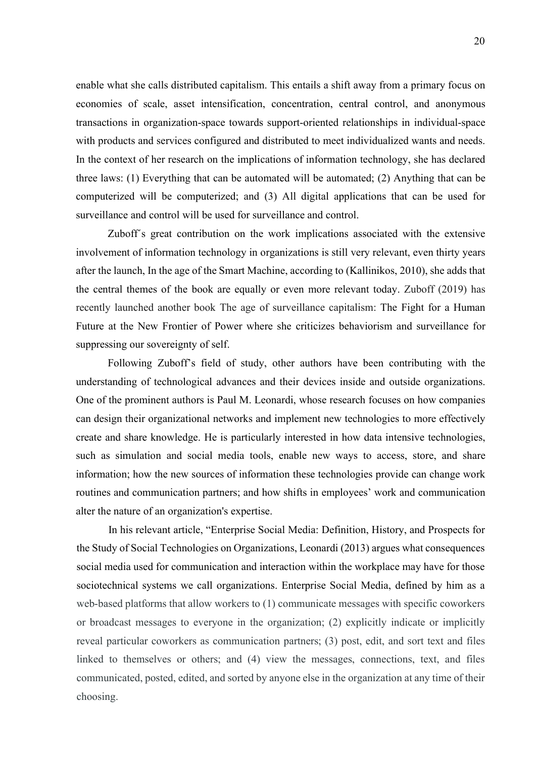enable what she calls distributed capitalism. This entails a shift away from a primary focus on economies of scale, asset intensification, concentration, central control, and anonymous transactions in organization-space towards support-oriented relationships in individual-space with products and services configured and distributed to meet individualized wants and needs. In the context of her research on the implications of information technology, she has declared three laws: (1) Everything that can be automated will be automated; (2) Anything that can be computerized will be computerized; and (3) All digital applications that can be used for surveillance and control will be used for surveillance and control.

Zuboff´s great contribution on the work implications associated with the extensive involvement of information technology in organizations is still very relevant, even thirty years after the launch, In the age of the Smart Machine, according to (Kallinikos, 2010), she adds that the central themes of the book are equally or even more relevant today. Zuboff (2019) has recently launched another book The age of surveillance capitalism: The Fight for a Human Future at the New Frontier of Power where she criticizes behaviorism and surveillance for suppressing our sovereignty of self.

Following Zuboff's field of study, other authors have been contributing with the understanding of technological advances and their devices inside and outside organizations. One of the prominent authors is Paul M. Leonardi, whose research focuses on how companies can design their organizational networks and implement new technologies to more effectively create and share knowledge. He is particularly interested in how data intensive technologies, such as simulation and social media tools, enable new ways to access, store, and share information; how the new sources of information these technologies provide can change work routines and communication partners; and how shifts in employees' work and communication alter the nature of an organization's expertise.

In his relevant article, "Enterprise Social Media: Definition, History, and Prospects for the Study of Social Technologies on Organizations, Leonardi (2013) argues what consequences social media used for communication and interaction within the workplace may have for those sociotechnical systems we call organizations. Enterprise Social Media, defined by him as a web-based platforms that allow workers to (1) communicate messages with specific coworkers or broadcast messages to everyone in the organization; (2) explicitly indicate or implicitly reveal particular coworkers as communication partners; (3) post, edit, and sort text and files linked to themselves or others; and (4) view the messages, connections, text, and files communicated, posted, edited, and sorted by anyone else in the organization at any time of their choosing.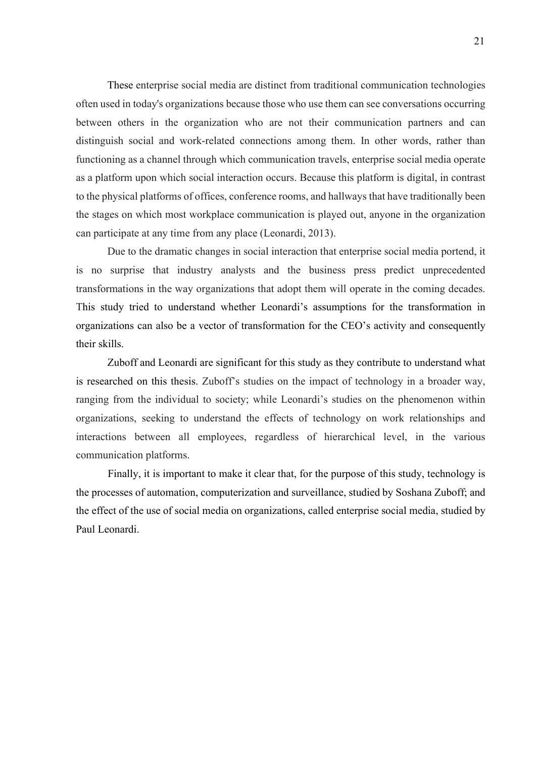These enterprise social media are distinct from traditional communication technologies often used in today's organizations because those who use them can see conversations occurring between others in the organization who are not their communication partners and can distinguish social and work-related connections among them. In other words, rather than functioning as a channel through which communication travels, enterprise social media operate as a platform upon which social interaction occurs. Because this platform is digital, in contrast to the physical platforms of offices, conference rooms, and hallways that have traditionally been the stages on which most workplace communication is played out, anyone in the organization can participate at any time from any place (Leonardi, 2013).

Due to the dramatic changes in social interaction that enterprise social media portend, it is no surprise that industry analysts and the business press predict unprecedented transformations in the way organizations that adopt them will operate in the coming decades. This study tried to understand whether Leonardi's assumptions for the transformation in organizations can also be a vector of transformation for the CEO's activity and consequently their skills.

Zuboff and Leonardi are significant for this study as they contribute to understand what is researched on this thesis. Zuboff's studies on the impact of technology in a broader way, ranging from the individual to society; while Leonardi's studies on the phenomenon within organizations, seeking to understand the effects of technology on work relationships and interactions between all employees, regardless of hierarchical level, in the various communication platforms.

Finally, it is important to make it clear that, for the purpose of this study, technology is the processes of automation, computerization and surveillance, studied by Soshana Zuboff; and the effect of the use of social media on organizations, called enterprise social media, studied by Paul Leonardi.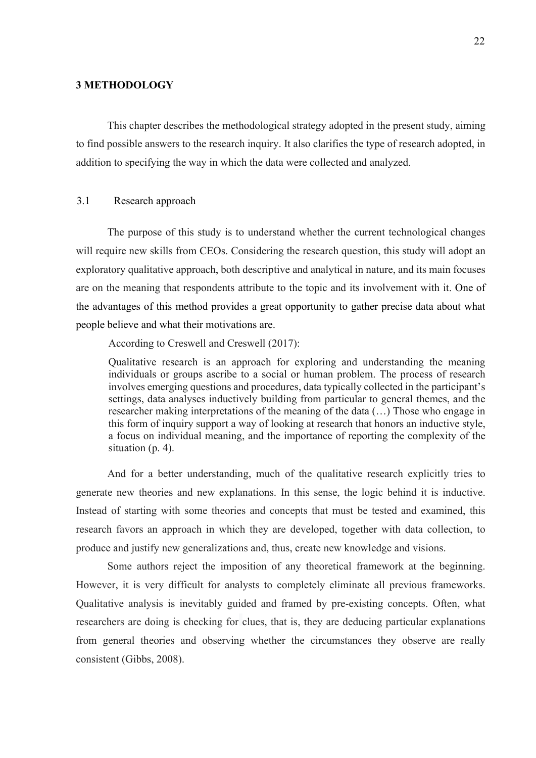#### 3 METHODOLOGY

This chapter describes the methodological strategy adopted in the present study, aiming to find possible answers to the research inquiry. It also clarifies the type of research adopted, in addition to specifying the way in which the data were collected and analyzed.

#### 3.1 Research approach

The purpose of this study is to understand whether the current technological changes will require new skills from CEOs. Considering the research question, this study will adopt an exploratory qualitative approach, both descriptive and analytical in nature, and its main focuses are on the meaning that respondents attribute to the topic and its involvement with it. One of the advantages of this method provides a great opportunity to gather precise data about what people believe and what their motivations are.

According to Creswell and Creswell (2017):

Qualitative research is an approach for exploring and understanding the meaning individuals or groups ascribe to a social or human problem. The process of research involves emerging questions and procedures, data typically collected in the participant's settings, data analyses inductively building from particular to general themes, and the researcher making interpretations of the meaning of the data (…) Those who engage in this form of inquiry support a way of looking at research that honors an inductive style, a focus on individual meaning, and the importance of reporting the complexity of the situation (p. 4).

And for a better understanding, much of the qualitative research explicitly tries to generate new theories and new explanations. In this sense, the logic behind it is inductive. Instead of starting with some theories and concepts that must be tested and examined, this research favors an approach in which they are developed, together with data collection, to produce and justify new generalizations and, thus, create new knowledge and visions.

Some authors reject the imposition of any theoretical framework at the beginning. However, it is very difficult for analysts to completely eliminate all previous frameworks. Qualitative analysis is inevitably guided and framed by pre-existing concepts. Often, what researchers are doing is checking for clues, that is, they are deducing particular explanations from general theories and observing whether the circumstances they observe are really consistent (Gibbs, 2008).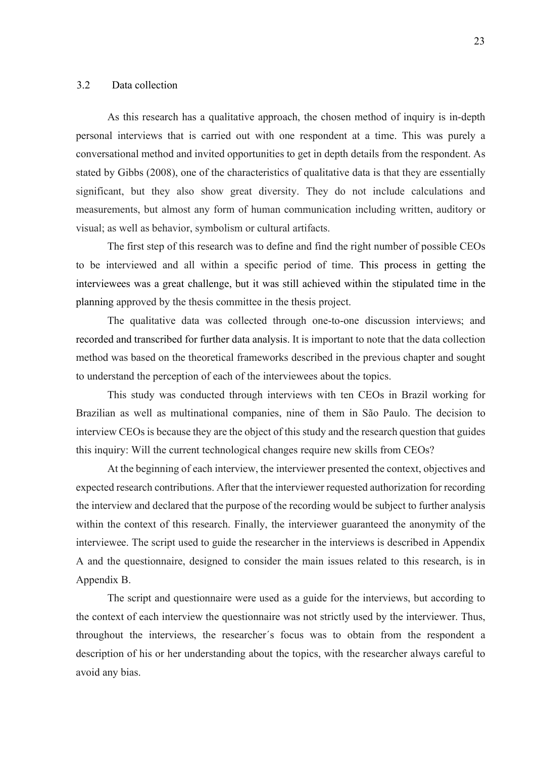#### 3.2 Data collection

As this research has a qualitative approach, the chosen method of inquiry is in-depth personal interviews that is carried out with one respondent at a time. This was purely a conversational method and invited opportunities to get in depth details from the respondent. As stated by Gibbs (2008), one of the characteristics of qualitative data is that they are essentially significant, but they also show great diversity. They do not include calculations and measurements, but almost any form of human communication including written, auditory or visual; as well as behavior, symbolism or cultural artifacts.

The first step of this research was to define and find the right number of possible CEOs to be interviewed and all within a specific period of time. This process in getting the interviewees was a great challenge, but it was still achieved within the stipulated time in the planning approved by the thesis committee in the thesis project.

The qualitative data was collected through one-to-one discussion interviews; and recorded and transcribed for further data analysis. It is important to note that the data collection method was based on the theoretical frameworks described in the previous chapter and sought to understand the perception of each of the interviewees about the topics.

This study was conducted through interviews with ten CEOs in Brazil working for Brazilian as well as multinational companies, nine of them in São Paulo. The decision to interview CEOs is because they are the object of this study and the research question that guides this inquiry: Will the current technological changes require new skills from CEOs?

At the beginning of each interview, the interviewer presented the context, objectives and expected research contributions. After that the interviewer requested authorization for recording the interview and declared that the purpose of the recording would be subject to further analysis within the context of this research. Finally, the interviewer guaranteed the anonymity of the interviewee. The script used to guide the researcher in the interviews is described in Appendix A and the questionnaire, designed to consider the main issues related to this research, is in Appendix B.

The script and questionnaire were used as a guide for the interviews, but according to the context of each interview the questionnaire was not strictly used by the interviewer. Thus, throughout the interviews, the researcher´s focus was to obtain from the respondent a description of his or her understanding about the topics, with the researcher always careful to avoid any bias.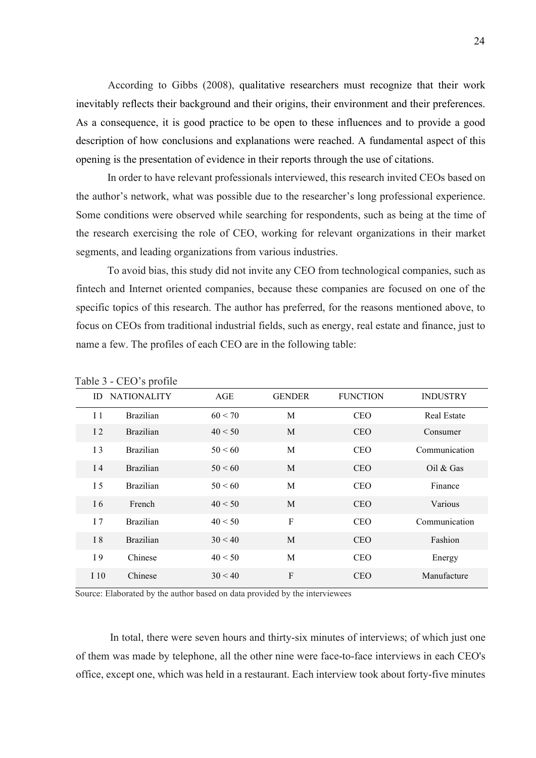According to Gibbs (2008), qualitative researchers must recognize that their work inevitably reflects their background and their origins, their environment and their preferences. As a consequence, it is good practice to be open to these influences and to provide a good description of how conclusions and explanations were reached. A fundamental aspect of this opening is the presentation of evidence in their reports through the use of citations.

In order to have relevant professionals interviewed, this research invited CEOs based on the author's network, what was possible due to the researcher's long professional experience. Some conditions were observed while searching for respondents, such as being at the time of the research exercising the role of CEO, working for relevant organizations in their market segments, and leading organizations from various industries.

To avoid bias, this study did not invite any CEO from technological companies, such as fintech and Internet oriented companies, because these companies are focused on one of the specific topics of this research. The author has preferred, for the reasons mentioned above, to focus on CEOs from traditional industrial fields, such as energy, real estate and finance, just to name a few. The profiles of each CEO are in the following table:

| ID             | <b>NATIONALITY</b> | AGE     | <b>GENDER</b> | <b>FUNCTION</b> | <b>INDUSTRY</b>    |
|----------------|--------------------|---------|---------------|-----------------|--------------------|
| 11             | <b>Brazilian</b>   | 60 < 70 | M             | <b>CEO</b>      | <b>Real Estate</b> |
| 12             | <b>Brazilian</b>   | 40 < 50 | M             | <b>CEO</b>      | Consumer           |
| 13             | <b>Brazilian</b>   | 50 < 60 | M             | <b>CEO</b>      | Communication      |
| I <sub>4</sub> | <b>Brazilian</b>   | 50 < 60 | M             | <b>CEO</b>      | Oil & Gas          |
| 15             | <b>Brazilian</b>   | 50 < 60 | M             | <b>CEO</b>      | Finance            |
| I 6            | French             | 40 < 50 | M             | <b>CEO</b>      | Various            |
| 17             | <b>Brazilian</b>   | 40 < 50 | $\mathbf F$   | <b>CEO</b>      | Communication      |
| I 8            | <b>Brazilian</b>   | 30 < 40 | M             | <b>CEO</b>      | Fashion            |
| I 9            | Chinese            | 40 < 50 | M             | <b>CEO</b>      | Energy             |
| I 10           | Chinese            | 30 < 40 | $\mathbf{F}$  | <b>CEO</b>      | Manufacture        |

Table 3 - CEO's profile

Source: Elaborated by the author based on data provided by the interviewees

 In total, there were seven hours and thirty-six minutes of interviews; of which just one of them was made by telephone, all the other nine were face-to-face interviews in each CEO's office, except one, which was held in a restaurant. Each interview took about forty-five minutes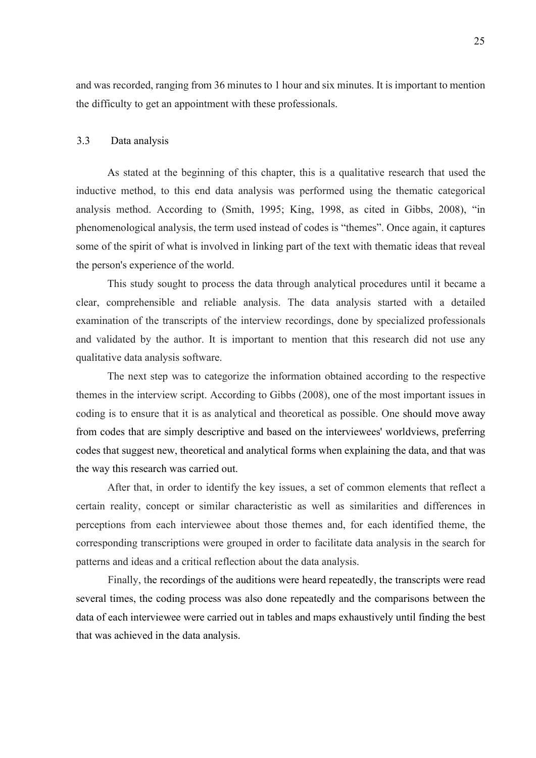and was recorded, ranging from 36 minutes to 1 hour and six minutes. It is important to mention the difficulty to get an appointment with these professionals.

#### 3.3 Data analysis

As stated at the beginning of this chapter, this is a qualitative research that used the inductive method, to this end data analysis was performed using the thematic categorical analysis method. According to (Smith, 1995; King, 1998, as cited in Gibbs, 2008), "in phenomenological analysis, the term used instead of codes is "themes". Once again, it captures some of the spirit of what is involved in linking part of the text with thematic ideas that reveal the person's experience of the world.

This study sought to process the data through analytical procedures until it became a clear, comprehensible and reliable analysis. The data analysis started with a detailed examination of the transcripts of the interview recordings, done by specialized professionals and validated by the author. It is important to mention that this research did not use any qualitative data analysis software.

The next step was to categorize the information obtained according to the respective themes in the interview script. According to Gibbs (2008), one of the most important issues in coding is to ensure that it is as analytical and theoretical as possible. One should move away from codes that are simply descriptive and based on the interviewees' worldviews, preferring codes that suggest new, theoretical and analytical forms when explaining the data, and that was the way this research was carried out.

After that, in order to identify the key issues, a set of common elements that reflect a certain reality, concept or similar characteristic as well as similarities and differences in perceptions from each interviewee about those themes and, for each identified theme, the corresponding transcriptions were grouped in order to facilitate data analysis in the search for patterns and ideas and a critical reflection about the data analysis.

Finally, the recordings of the auditions were heard repeatedly, the transcripts were read several times, the coding process was also done repeatedly and the comparisons between the data of each interviewee were carried out in tables and maps exhaustively until finding the best that was achieved in the data analysis.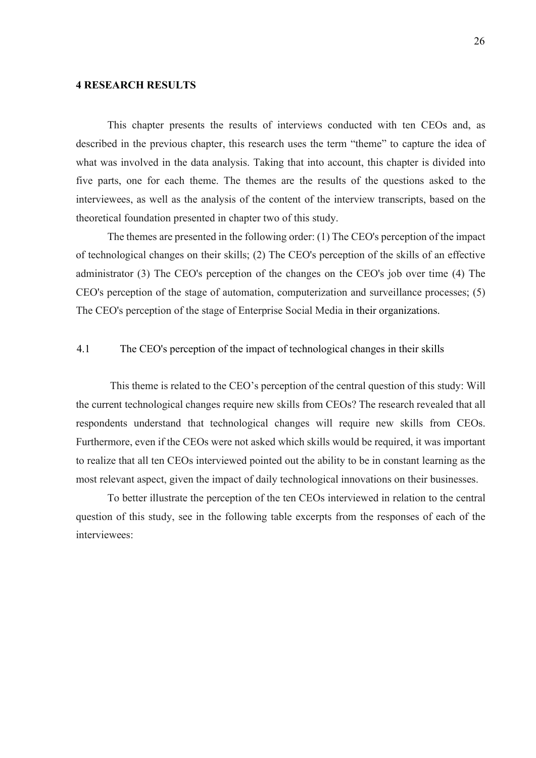#### 4 RESEARCH RESULTS

This chapter presents the results of interviews conducted with ten CEOs and, as described in the previous chapter, this research uses the term "theme" to capture the idea of what was involved in the data analysis. Taking that into account, this chapter is divided into five parts, one for each theme. The themes are the results of the questions asked to the interviewees, as well as the analysis of the content of the interview transcripts, based on the theoretical foundation presented in chapter two of this study.

The themes are presented in the following order: (1) The CEO's perception of the impact of technological changes on their skills; (2) The CEO's perception of the skills of an effective administrator (3) The CEO's perception of the changes on the CEO's job over time (4) The CEO's perception of the stage of automation, computerization and surveillance processes; (5) The CEO's perception of the stage of Enterprise Social Media in their organizations.

#### 4.1 The CEO's perception of the impact of technological changes in their skills

 This theme is related to the CEO's perception of the central question of this study: Will the current technological changes require new skills from CEOs? The research revealed that all respondents understand that technological changes will require new skills from CEOs. Furthermore, even if the CEOs were not asked which skills would be required, it was important to realize that all ten CEOs interviewed pointed out the ability to be in constant learning as the most relevant aspect, given the impact of daily technological innovations on their businesses.

To better illustrate the perception of the ten CEOs interviewed in relation to the central question of this study, see in the following table excerpts from the responses of each of the interviewees: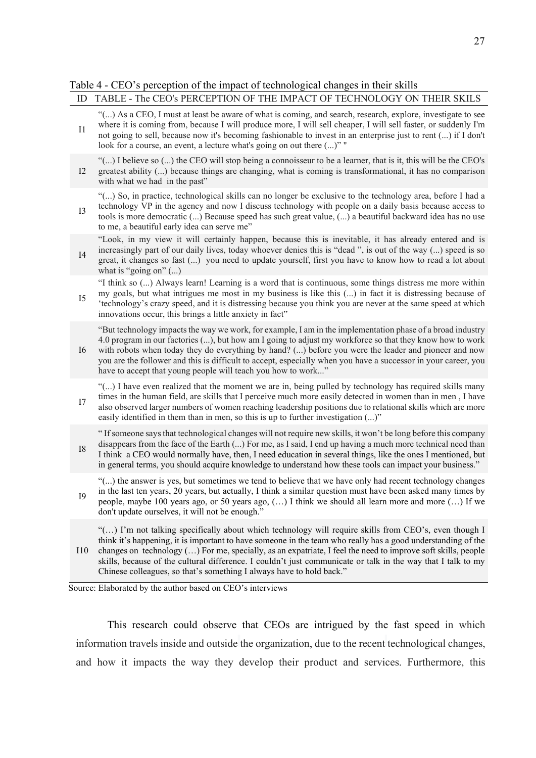#### Table 4 - CEO's perception of the impact of technological changes in their skills

## ID TABLE - The CEO's PERCEPTION OF THE IMPACT OF TECHNOLOGY ON THEIR SKILS

|            | - THE CLOST LIKELI TION OF THE INITIACT OF TECHNOLOGIC ON THEIR DIVILO                                                                                                                                                                                                                                                                                                                                                                                                                                                        |
|------------|-------------------------------------------------------------------------------------------------------------------------------------------------------------------------------------------------------------------------------------------------------------------------------------------------------------------------------------------------------------------------------------------------------------------------------------------------------------------------------------------------------------------------------|
| I1         | "() As a CEO, I must at least be aware of what is coming, and search, research, explore, investigate to see<br>where it is coming from, because I will produce more, I will sell cheaper, I will sell faster, or suddenly I'm<br>not going to sell, because now it's becoming fashionable to invest in an enterprise just to rent () if I don't<br>look for a course, an event, a lecture what's going on out there ()" "                                                                                                     |
| I2         | "() I believe so () the CEO will stop being a connoisseur to be a learner, that is it, this will be the CEO's<br>greatest ability () because things are changing, what is coming is transformational, it has no comparison<br>with what we had in the past"                                                                                                                                                                                                                                                                   |
| <b>I3</b>  | "() So, in practice, technological skills can no longer be exclusive to the technology area, before I had a<br>technology VP in the agency and now I discuss technology with people on a daily basis because access to<br>tools is more democratic () Because speed has such great value, () a beautiful backward idea has no use<br>to me, a beautiful early idea can serve me"                                                                                                                                              |
| I4         | "Look, in my view it will certainly happen, because this is inevitable, it has already entered and is<br>increasingly part of our daily lives, today whoever denies this is "dead", is out of the way () speed is so<br>great, it changes so fast () you need to update yourself, first you have to know how to read a lot about<br>what is "going on" $()$                                                                                                                                                                   |
| I5         | "I think so () Always learn! Learning is a word that is continuous, some things distress me more within<br>my goals, but what intrigues me most in my business is like this () in fact it is distressing because of<br>'technology's crazy speed, and it is distressing because you think you are never at the same speed at which<br>innovations occur, this brings a little anxiety in fact"                                                                                                                                |
| I6         | "But technology impacts the way we work, for example, I am in the implementation phase of a broad industry<br>4.0 program in our factories (), but how am I going to adjust my workforce so that they know how to work<br>with robots when today they do everything by hand? () before you were the leader and pioneer and now<br>you are the follower and this is difficult to accept, especially when you have a successor in your career, you<br>have to accept that young people will teach you how to work"              |
| I7         | "() I have even realized that the moment we are in, being pulled by technology has required skills many<br>times in the human field, are skills that I perceive much more easily detected in women than in men, I have<br>also observed larger numbers of women reaching leadership positions due to relational skills which are more<br>easily identified in them than in men, so this is up to further investigation ()"                                                                                                    |
| ${\rm I}8$ | "If someone says that technological changes will not require new skills, it won't be long before this company<br>disappears from the face of the Earth () For me, as I said, I end up having a much more technical need than<br>I think a CEO would normally have, then, I need education in several things, like the ones I mentioned, but<br>in general terms, you should acquire knowledge to understand how these tools can impact your business."                                                                        |
| <b>I9</b>  | "() the answer is yes, but sometimes we tend to believe that we have only had recent technology changes<br>in the last ten years, 20 years, but actually, I think a similar question must have been asked many times by<br>people, maybe 100 years ago, or 50 years ago, $()$ I think we should all learn more and more $()$ If we<br>don't update ourselves, it will not be enough."                                                                                                                                         |
| 110        | "() I'm not talking specifically about which technology will require skills from CEO's, even though I<br>think it's happening, it is important to have someone in the team who really has a good understanding of the<br>changes on technology () For me, specially, as an expatriate, I feel the need to improve soft skills, people<br>skills, because of the cultural difference. I couldn't just communicate or talk in the way that I talk to my<br>Chinese colleagues, so that's something I always have to hold back." |
|            | Source: Elaborated by the author based on CEO's interviews                                                                                                                                                                                                                                                                                                                                                                                                                                                                    |

This research could observe that CEOs are intrigued by the fast speed in which information travels inside and outside the organization, due to the recent technological changes, and how it impacts the way they develop their product and services. Furthermore, this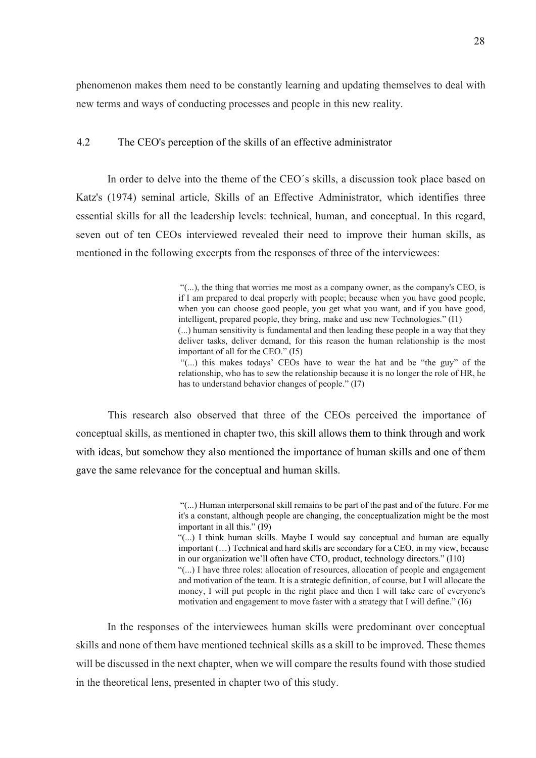phenomenon makes them need to be constantly learning and updating themselves to deal with new terms and ways of conducting processes and people in this new reality.

#### 4.2 The CEO's perception of the skills of an effective administrator

In order to delve into the theme of the CEO´s skills, a discussion took place based on Katz's (1974) seminal article, Skills of an Effective Administrator, which identifies three essential skills for all the leadership levels: technical, human, and conceptual. In this regard, seven out of ten CEOs interviewed revealed their need to improve their human skills, as mentioned in the following excerpts from the responses of three of the interviewees:

> "(...), the thing that worries me most as a company owner, as the company's CEO, is if I am prepared to deal properly with people; because when you have good people, when you can choose good people, you get what you want, and if you have good, intelligent, prepared people, they bring, make and use new Technologies." (I1) (...) human sensitivity is fundamental and then leading these people in a way that they

> deliver tasks, deliver demand, for this reason the human relationship is the most important of all for the CEO." (I5)

> "(...) this makes todays' CEOs have to wear the hat and be "the guy" of the relationship, who has to sew the relationship because it is no longer the role of HR, he has to understand behavior changes of people." (I7)

This research also observed that three of the CEOs perceived the importance of conceptual skills, as mentioned in chapter two, this skill allows them to think through and work with ideas, but somehow they also mentioned the importance of human skills and one of them gave the same relevance for the conceptual and human skills.

> "(...) Human interpersonal skill remains to be part of the past and of the future. For me it's a constant, although people are changing, the conceptualization might be the most important in all this." (I9)

> "(...) I think human skills. Maybe I would say conceptual and human are equally important (…) Technical and hard skills are secondary for a CEO, in my view, because in our organization we'll often have CTO, product, technology directors." (I10) "(...) I have three roles: allocation of resources, allocation of people and engagement and motivation of the team. It is a strategic definition, of course, but I will allocate the

> money, I will put people in the right place and then I will take care of everyone's motivation and engagement to move faster with a strategy that I will define." (I6)

In the responses of the interviewees human skills were predominant over conceptual skills and none of them have mentioned technical skills as a skill to be improved. These themes will be discussed in the next chapter, when we will compare the results found with those studied in the theoretical lens, presented in chapter two of this study.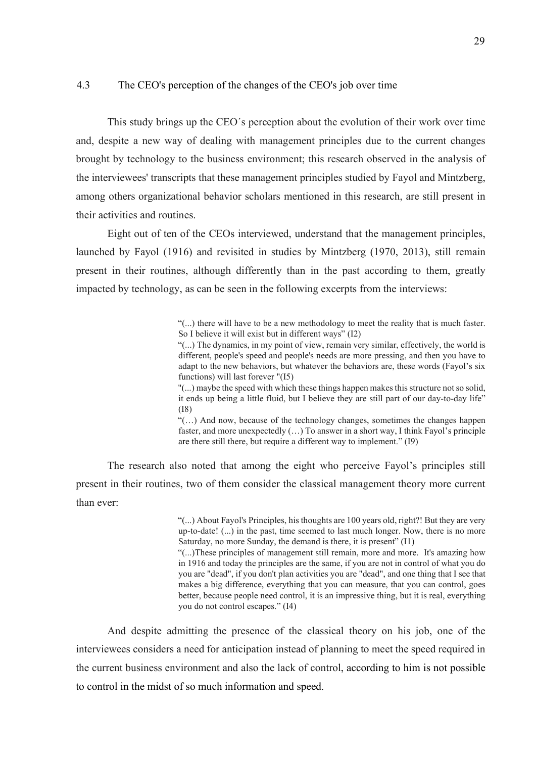#### 4.3 The CEO's perception of the changes of the CEO's job over time

This study brings up the CEO´s perception about the evolution of their work over time and, despite a new way of dealing with management principles due to the current changes brought by technology to the business environment; this research observed in the analysis of the interviewees' transcripts that these management principles studied by Fayol and Mintzberg, among others organizational behavior scholars mentioned in this research, are still present in their activities and routines.

Eight out of ten of the CEOs interviewed, understand that the management principles, launched by Fayol (1916) and revisited in studies by Mintzberg (1970, 2013), still remain present in their routines, although differently than in the past according to them, greatly impacted by technology, as can be seen in the following excerpts from the interviews:

> "(...) there will have to be a new methodology to meet the reality that is much faster. So I believe it will exist but in different ways" (I2)

> "(...) The dynamics, in my point of view, remain very similar, effectively, the world is different, people's speed and people's needs are more pressing, and then you have to adapt to the new behaviors, but whatever the behaviors are, these words (Fayol's six functions) will last forever "(I5)

> "(...) maybe the speed with which these things happen makes this structure not so solid, it ends up being a little fluid, but I believe they are still part of our day-to-day life" (I8)

> "(…) And now, because of the technology changes, sometimes the changes happen faster, and more unexpectedly (…) To answer in a short way, I think Fayol's principle are there still there, but require a different way to implement." (I9)

The research also noted that among the eight who perceive Fayol's principles still present in their routines, two of them consider the classical management theory more current than ever:

> "(...) About Fayol's Principles, his thoughts are 100 years old, right?! But they are very up-to-date! (...) in the past, time seemed to last much longer. Now, there is no more Saturday, no more Sunday, the demand is there, it is present" (I1)

> "(...)These principles of management still remain, more and more. It's amazing how in 1916 and today the principles are the same, if you are not in control of what you do you are "dead", if you don't plan activities you are "dead", and one thing that I see that makes a big difference, everything that you can measure, that you can control, goes better, because people need control, it is an impressive thing, but it is real, everything you do not control escapes." (I4)

And despite admitting the presence of the classical theory on his job, one of the interviewees considers a need for anticipation instead of planning to meet the speed required in the current business environment and also the lack of control, according to him is not possible to control in the midst of so much information and speed.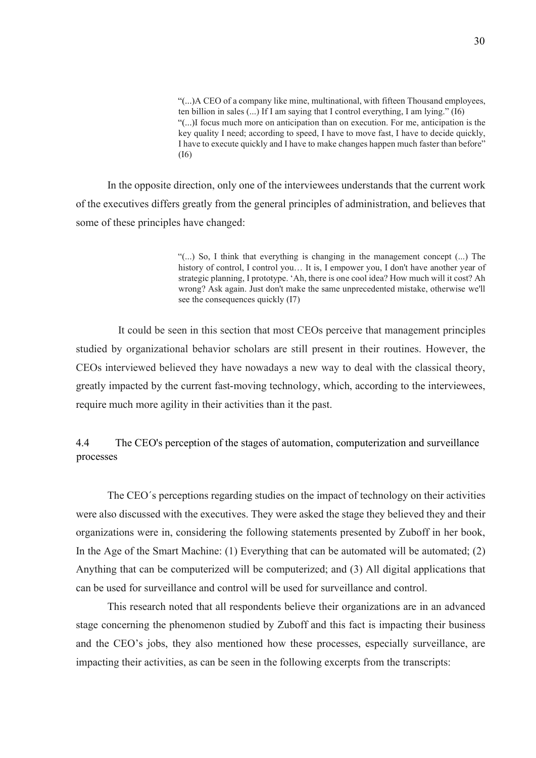"(...)A CEO of a company like mine, multinational, with fifteen Thousand employees, ten billion in sales (...) If I am saying that I control everything, I am lying." (I6) "(...)I focus much more on anticipation than on execution. For me, anticipation is the key quality I need; according to speed, I have to move fast, I have to decide quickly, I have to execute quickly and I have to make changes happen much faster than before" (I6)

In the opposite direction, only one of the interviewees understands that the current work of the executives differs greatly from the general principles of administration, and believes that some of these principles have changed:

> "(...) So, I think that everything is changing in the management concept (...) The history of control, I control you... It is, I empower you, I don't have another year of strategic planning, I prototype. 'Ah, there is one cool idea? How much will it cost? Ah wrong? Ask again. Just don't make the same unprecedented mistake, otherwise we'll see the consequences quickly (I7)

 It could be seen in this section that most CEOs perceive that management principles studied by organizational behavior scholars are still present in their routines. However, the CEOs interviewed believed they have nowadays a new way to deal with the classical theory, greatly impacted by the current fast-moving technology, which, according to the interviewees, require much more agility in their activities than it the past.

4.4 The CEO's perception of the stages of automation, computerization and surveillance processes

The CEO´s perceptions regarding studies on the impact of technology on their activities were also discussed with the executives. They were asked the stage they believed they and their organizations were in, considering the following statements presented by Zuboff in her book, In the Age of the Smart Machine: (1) Everything that can be automated will be automated; (2) Anything that can be computerized will be computerized; and (3) All digital applications that can be used for surveillance and control will be used for surveillance and control.

This research noted that all respondents believe their organizations are in an advanced stage concerning the phenomenon studied by Zuboff and this fact is impacting their business and the CEO's jobs, they also mentioned how these processes, especially surveillance, are impacting their activities, as can be seen in the following excerpts from the transcripts: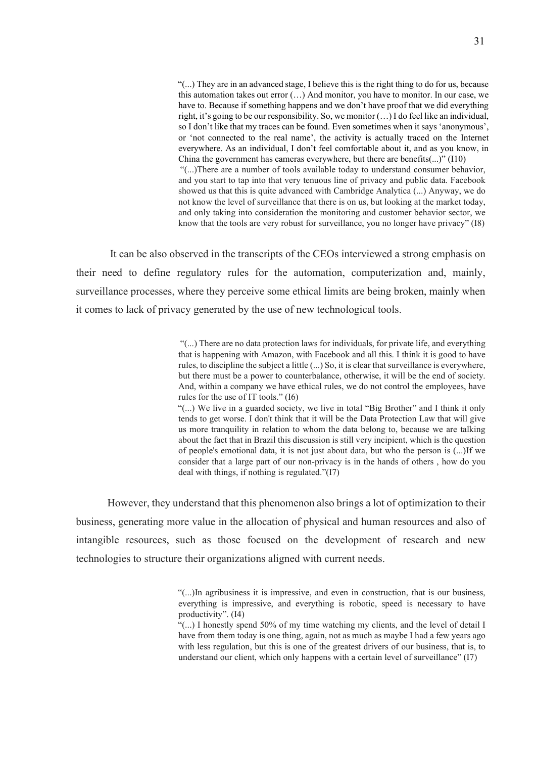"(...) They are in an advanced stage, I believe this is the right thing to do for us, because this automation takes out error (…) And monitor, you have to monitor. In our case, we have to. Because if something happens and we don't have proof that we did everything right, it's going to be our responsibility. So, we monitor (…) I do feel like an individual, so I don't like that my traces can be found. Even sometimes when it says 'anonymous', or 'not connected to the real name', the activity is actually traced on the Internet everywhere. As an individual, I don't feel comfortable about it, and as you know, in China the government has cameras everywhere, but there are benefits(...)" (I10) "(...)There are a number of tools available today to understand consumer behavior, and you start to tap into that very tenuous line of privacy and public data. Facebook

showed us that this is quite advanced with Cambridge Analytica (...) Anyway, we do not know the level of surveillance that there is on us, but looking at the market today, and only taking into consideration the monitoring and customer behavior sector, we know that the tools are very robust for surveillance, you no longer have privacy" (I8)

It can be also observed in the transcripts of the CEOs interviewed a strong emphasis on their need to define regulatory rules for the automation, computerization and, mainly, surveillance processes, where they perceive some ethical limits are being broken, mainly when it comes to lack of privacy generated by the use of new technological tools.

> "(...) There are no data protection laws for individuals, for private life, and everything that is happening with Amazon, with Facebook and all this. I think it is good to have rules, to discipline the subject a little (...) So, it is clear that surveillance is everywhere, but there must be a power to counterbalance, otherwise, it will be the end of society. And, within a company we have ethical rules, we do not control the employees, have rules for the use of IT tools." (I6)

> "(...) We live in a guarded society, we live in total "Big Brother" and I think it only tends to get worse. I don't think that it will be the Data Protection Law that will give us more tranquility in relation to whom the data belong to, because we are talking about the fact that in Brazil this discussion is still very incipient, which is the question of people's emotional data, it is not just about data, but who the person is (...)If we consider that a large part of our non-privacy is in the hands of others , how do you deal with things, if nothing is regulated."(I7)

However, they understand that this phenomenon also brings a lot of optimization to their business, generating more value in the allocation of physical and human resources and also of intangible resources, such as those focused on the development of research and new technologies to structure their organizations aligned with current needs.

> "(...)In agribusiness it is impressive, and even in construction, that is our business, everything is impressive, and everything is robotic, speed is necessary to have productivity". (I4)

> "(...) I honestly spend 50% of my time watching my clients, and the level of detail I have from them today is one thing, again, not as much as maybe I had a few years ago with less regulation, but this is one of the greatest drivers of our business, that is, to understand our client, which only happens with a certain level of surveillance" (I7)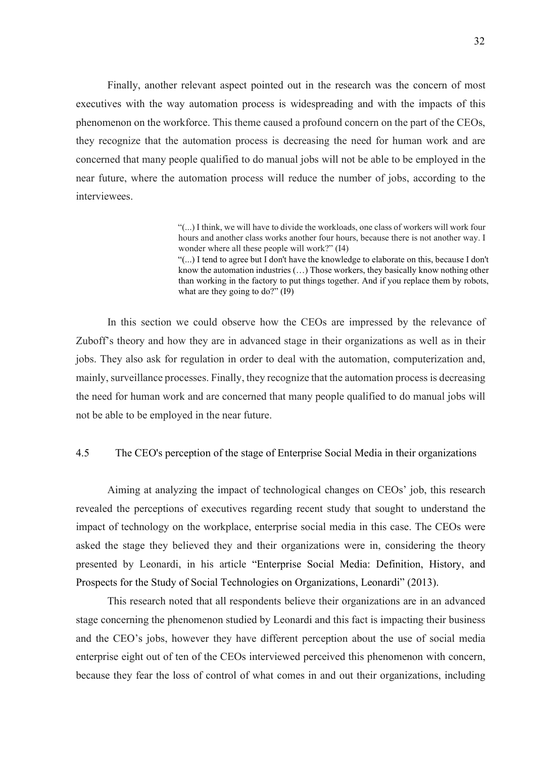Finally, another relevant aspect pointed out in the research was the concern of most executives with the way automation process is widespreading and with the impacts of this phenomenon on the workforce. This theme caused a profound concern on the part of the CEOs, they recognize that the automation process is decreasing the need for human work and are concerned that many people qualified to do manual jobs will not be able to be employed in the near future, where the automation process will reduce the number of jobs, according to the interviewees.

> "(...) I think, we will have to divide the workloads, one class of workers will work four hours and another class works another four hours, because there is not another way. I wonder where all these people will work?" (I4)

> "(...) I tend to agree but I don't have the knowledge to elaborate on this, because I don't know the automation industries (…) Those workers, they basically know nothing other than working in the factory to put things together. And if you replace them by robots, what are they going to do?" (19)

In this section we could observe how the CEOs are impressed by the relevance of Zuboff's theory and how they are in advanced stage in their organizations as well as in their jobs. They also ask for regulation in order to deal with the automation, computerization and, mainly, surveillance processes. Finally, they recognize that the automation process is decreasing the need for human work and are concerned that many people qualified to do manual jobs will not be able to be employed in the near future.

#### 4.5 The CEO's perception of the stage of Enterprise Social Media in their organizations

Aiming at analyzing the impact of technological changes on CEOs' job, this research revealed the perceptions of executives regarding recent study that sought to understand the impact of technology on the workplace, enterprise social media in this case. The CEOs were asked the stage they believed they and their organizations were in, considering the theory presented by Leonardi, in his article "Enterprise Social Media: Definition, History, and Prospects for the Study of Social Technologies on Organizations, Leonardi" (2013).

This research noted that all respondents believe their organizations are in an advanced stage concerning the phenomenon studied by Leonardi and this fact is impacting their business and the CEO's jobs, however they have different perception about the use of social media enterprise eight out of ten of the CEOs interviewed perceived this phenomenon with concern, because they fear the loss of control of what comes in and out their organizations, including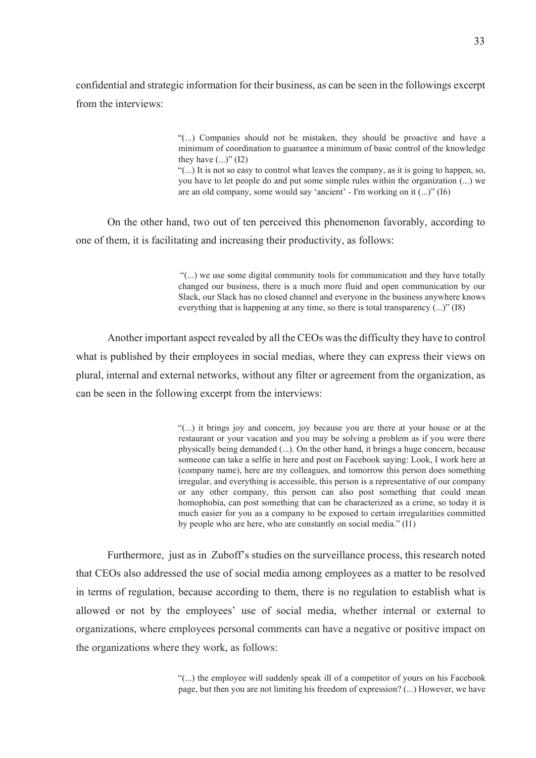confidential and strategic information for their business, as can be seen in the followings excerpt from the interviews:

> "(...) Companies should not be mistaken, they should be proactive and have a minimum of coordination to guarantee a minimum of basic control of the knowledge they have  $(...)$ " (I2)

> "(...) It is not so easy to control what leaves the company, as it is going to happen, so, you have to let people do and put some simple rules within the organization (...) we are an old company, some would say 'ancient' - I'm working on it (...)" (I6)

On the other hand, two out of ten perceived this phenomenon favorably, according to one of them, it is facilitating and increasing their productivity, as follows:

> "(...) we use some digital community tools for communication and they have totally changed our business, there is a much more fluid and open communication by our Slack, our Slack has no closed channel and everyone in the business anywhere knows everything that is happening at any time, so there is total transparency (...)" (I8)

Another important aspect revealed by all the CEOs was the difficulty they have to control what is published by their employees in social medias, where they can express their views on plural, internal and external networks, without any filter or agreement from the organization, as can be seen in the following excerpt from the interviews:

> "(...) it brings joy and concern, joy because you are there at your house or at the restaurant or your vacation and you may be solving a problem as if you were there physically being demanded (...). On the other hand, it brings a huge concern, because someone can take a selfie in here and post on Facebook saying: Look, I work here at (company name), here are my colleagues, and tomorrow this person does something irregular, and everything is accessible, this person is a representative of our company or any other company, this person can also post something that could mean homophobia, can post something that can be characterized as a crime, so today it is much easier for you as a company to be exposed to certain irregularities committed by people who are here, who are constantly on social media." (I1)

Furthermore, just as in Zuboff's studies on the surveillance process, this research noted that CEOs also addressed the use of social media among employees as a matter to be resolved in terms of regulation, because according to them, there is no regulation to establish what is allowed or not by the employees' use of social media, whether internal or external to organizations, where employees personal comments can have a negative or positive impact on the organizations where they work, as follows:

> "(...) the employee will suddenly speak ill of a competitor of yours on his Facebook page, but then you are not limiting his freedom of expression? (...) However, we have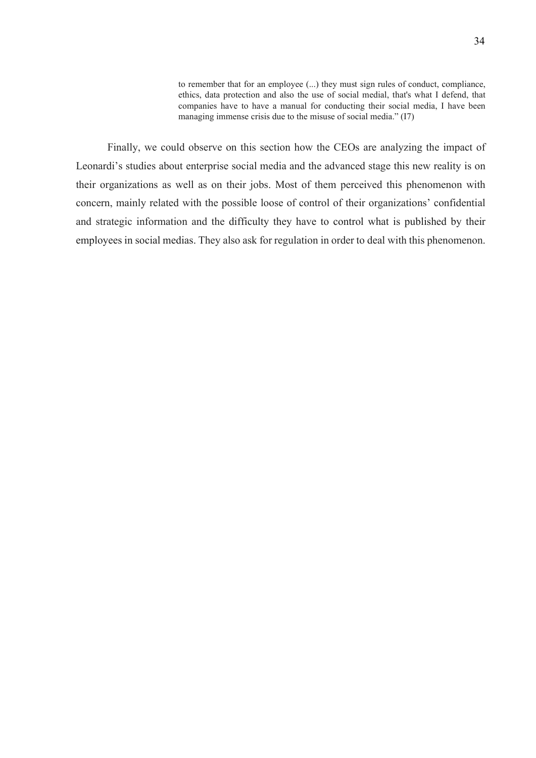to remember that for an employee (...) they must sign rules of conduct, compliance, ethics, data protection and also the use of social medial, that's what I defend, that companies have to have a manual for conducting their social media, I have been managing immense crisis due to the misuse of social media." (I7)

Finally, we could observe on this section how the CEOs are analyzing the impact of Leonardi's studies about enterprise social media and the advanced stage this new reality is on their organizations as well as on their jobs. Most of them perceived this phenomenon with concern, mainly related with the possible loose of control of their organizations' confidential and strategic information and the difficulty they have to control what is published by their employees in social medias. They also ask for regulation in order to deal with this phenomenon.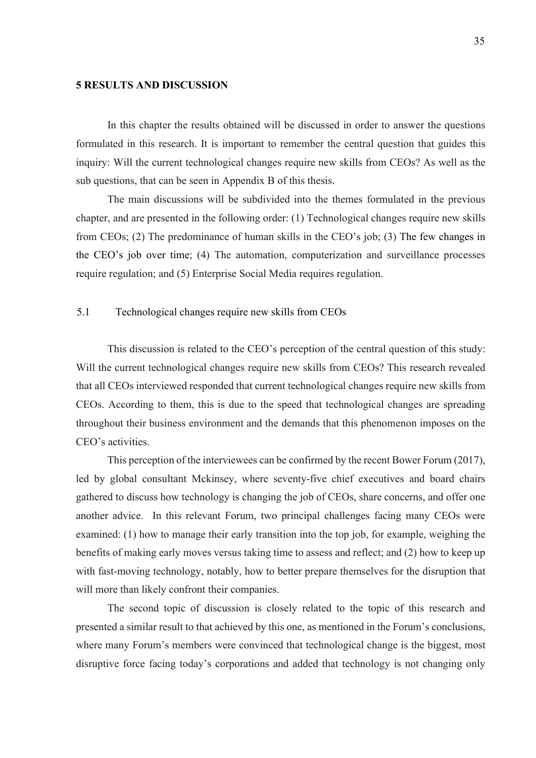#### 5 RESULTS AND DISCUSSION

In this chapter the results obtained will be discussed in order to answer the questions formulated in this research. It is important to remember the central question that guides this inquiry: Will the current technological changes require new skills from CEOs? As well as the sub questions, that can be seen in Appendix B of this thesis.

The main discussions will be subdivided into the themes formulated in the previous chapter, and are presented in the following order: (1) Technological changes require new skills from CEOs; (2) The predominance of human skills in the CEO's job; (3) The few changes in the CEO's job over time; (4) The automation, computerization and surveillance processes require regulation; and (5) Enterprise Social Media requires regulation.

#### 5.1 Technological changes require new skills from CEOs

This discussion is related to the CEO's perception of the central question of this study: Will the current technological changes require new skills from CEOs? This research revealed that all CEOs interviewed responded that current technological changes require new skills from CEOs. According to them, this is due to the speed that technological changes are spreading throughout their business environment and the demands that this phenomenon imposes on the CEO's activities.

This perception of the interviewees can be confirmed by the recent Bower Forum (2017), led by global consultant Mckinsey, where seventy-five chief executives and board chairs gathered to discuss how technology is changing the job of CEOs, share concerns, and offer one another advice. In this relevant Forum, two principal challenges facing many CEOs were examined: (1) how to manage their early transition into the top job, for example, weighing the benefits of making early moves versus taking time to assess and reflect; and (2) how to keep up with fast-moving technology, notably, how to better prepare themselves for the disruption that will more than likely confront their companies.

The second topic of discussion is closely related to the topic of this research and presented a similar result to that achieved by this one, as mentioned in the Forum's conclusions, where many Forum's members were convinced that technological change is the biggest, most disruptive force facing today's corporations and added that technology is not changing only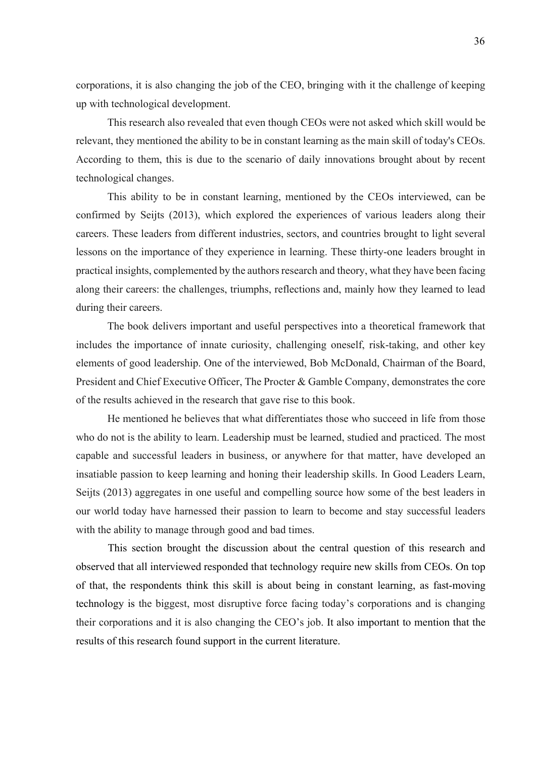corporations, it is also changing the job of the CEO, bringing with it the challenge of keeping up with technological development.

This research also revealed that even though CEOs were not asked which skill would be relevant, they mentioned the ability to be in constant learning as the main skill of today's CEOs. According to them, this is due to the scenario of daily innovations brought about by recent technological changes.

This ability to be in constant learning, mentioned by the CEOs interviewed, can be confirmed by Seijts (2013), which explored the experiences of various leaders along their careers. These leaders from different industries, sectors, and countries brought to light several lessons on the importance of they experience in learning. These thirty-one leaders brought in practical insights, complemented by the authors research and theory, what they have been facing along their careers: the challenges, triumphs, reflections and, mainly how they learned to lead during their careers.

The book delivers important and useful perspectives into a theoretical framework that includes the importance of innate curiosity, challenging oneself, risk-taking, and other key elements of good leadership. One of the interviewed, Bob McDonald, Chairman of the Board, President and Chief Executive Officer, The Procter & Gamble Company, demonstrates the core of the results achieved in the research that gave rise to this book.

He mentioned he believes that what differentiates those who succeed in life from those who do not is the ability to learn. Leadership must be learned, studied and practiced. The most capable and successful leaders in business, or anywhere for that matter, have developed an insatiable passion to keep learning and honing their leadership skills. In Good Leaders Learn, Seijts (2013) aggregates in one useful and compelling source how some of the best leaders in our world today have harnessed their passion to learn to become and stay successful leaders with the ability to manage through good and bad times.

This section brought the discussion about the central question of this research and observed that all interviewed responded that technology require new skills from CEOs. On top of that, the respondents think this skill is about being in constant learning, as fast-moving technology is the biggest, most disruptive force facing today's corporations and is changing their corporations and it is also changing the CEO's job. It also important to mention that the results of this research found support in the current literature.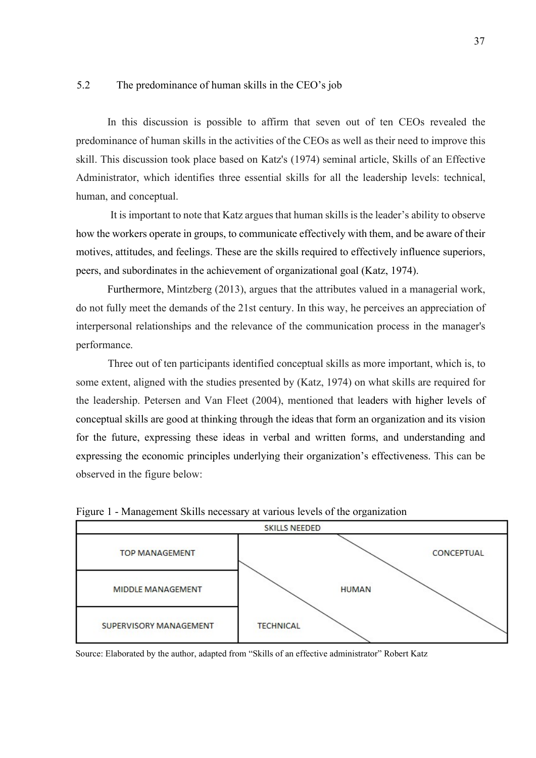#### 5.2 The predominance of human skills in the CEO's job

In this discussion is possible to affirm that seven out of ten CEOs revealed the predominance of human skills in the activities of the CEOs as well as their need to improve this skill. This discussion took place based on Katz's (1974) seminal article, Skills of an Effective Administrator, which identifies three essential skills for all the leadership levels: technical, human, and conceptual.

 It is important to note that Katz argues that human skills is the leader's ability to observe how the workers operate in groups, to communicate effectively with them, and be aware of their motives, attitudes, and feelings. These are the skills required to effectively influence superiors, peers, and subordinates in the achievement of organizational goal (Katz, 1974).

Furthermore, Mintzberg (2013), argues that the attributes valued in a managerial work, do not fully meet the demands of the 21st century. In this way, he perceives an appreciation of interpersonal relationships and the relevance of the communication process in the manager's performance.

Three out of ten participants identified conceptual skills as more important, which is, to some extent, aligned with the studies presented by (Katz, 1974) on what skills are required for the leadership. Petersen and Van Fleet (2004), mentioned that leaders with higher levels of conceptual skills are good at thinking through the ideas that form an organization and its vision for the future, expressing these ideas in verbal and written forms, and understanding and expressing the economic principles underlying their organization's effectiveness. This can be observed in the figure below:



Figure 1 - Management Skills necessary at various levels of the organization

Source: Elaborated by the author, adapted from "Skills of an effective administrator" Robert Katz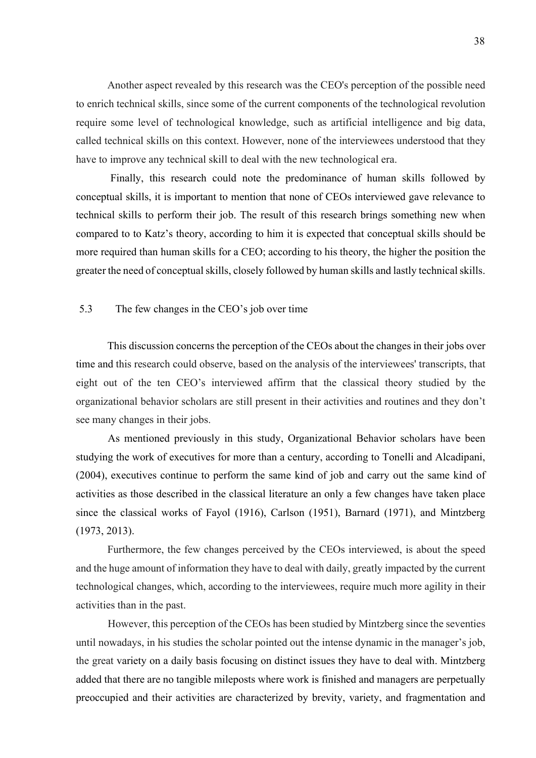Another aspect revealed by this research was the CEO's perception of the possible need to enrich technical skills, since some of the current components of the technological revolution require some level of technological knowledge, such as artificial intelligence and big data, called technical skills on this context. However, none of the interviewees understood that they have to improve any technical skill to deal with the new technological era.

 Finally, this research could note the predominance of human skills followed by conceptual skills, it is important to mention that none of CEOs interviewed gave relevance to technical skills to perform their job. The result of this research brings something new when compared to to Katz's theory, according to him it is expected that conceptual skills should be more required than human skills for a CEO; according to his theory, the higher the position the greater the need of conceptual skills, closely followed by human skills and lastly technical skills.

#### 5.3 The few changes in the CEO's job over time

This discussion concerns the perception of the CEOs about the changes in their jobs over time and this research could observe, based on the analysis of the interviewees' transcripts, that eight out of the ten CEO's interviewed affirm that the classical theory studied by the organizational behavior scholars are still present in their activities and routines and they don't see many changes in their jobs.

As mentioned previously in this study, Organizational Behavior scholars have been studying the work of executives for more than a century, according to Tonelli and Alcadipani, (2004), executives continue to perform the same kind of job and carry out the same kind of activities as those described in the classical literature an only a few changes have taken place since the classical works of Fayol (1916), Carlson (1951), Barnard (1971), and Mintzberg (1973, 2013).

Furthermore, the few changes perceived by the CEOs interviewed, is about the speed and the huge amount of information they have to deal with daily, greatly impacted by the current technological changes, which, according to the interviewees, require much more agility in their activities than in the past.

However, this perception of the CEOs has been studied by Mintzberg since the seventies until nowadays, in his studies the scholar pointed out the intense dynamic in the manager's job, the great variety on a daily basis focusing on distinct issues they have to deal with. Mintzberg added that there are no tangible mileposts where work is finished and managers are perpetually preoccupied and their activities are characterized by brevity, variety, and fragmentation and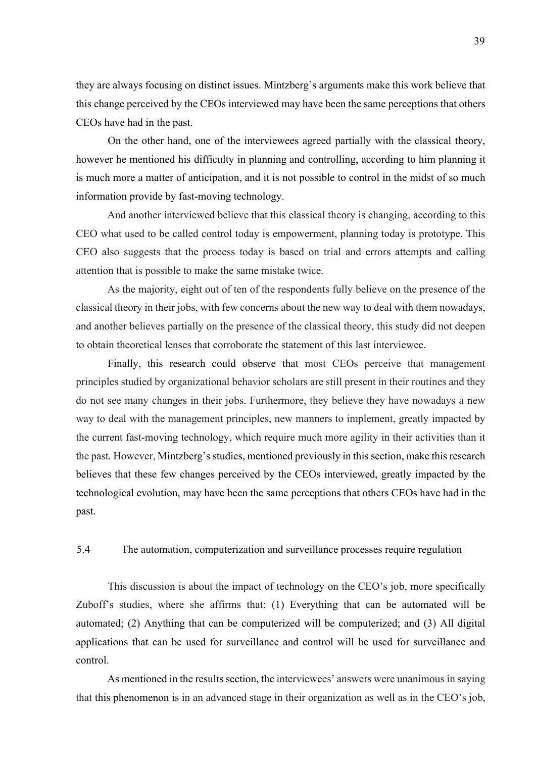they are always focusing on distinct issues. Mintzberg's arguments make this work believe that this change perceived by the CEOs interviewed may have been the same perceptions that others CEOs have had in the past.

On the other hand, one of the interviewees agreed partially with the classical theory, however he mentioned his difficulty in planning and controlling, according to him planning it is much more a matter of anticipation, and it is not possible to control in the midst of so much information provide by fast-moving technology.

And another interviewed believe that this classical theory is changing, according to this CEO what used to be called control today is empowerment, planning today is prototype. This CEO also suggests that the process today is based on trial and errors attempts and calling attention that is possible to make the same mistake twice.

As the majority, eight out of ten of the respondents fully believe on the presence of the classical theory in their jobs, with few concerns about the new way to deal with them nowadays, and another believes partially on the presence of the classical theory, this study did not deepen to obtain theoretical lenses that corroborate the statement of this last interviewee.

Finally, this research could observe that most CEOs perceive that management principles studied by organizational behavior scholars are still present in their routines and they do not see many changes in their jobs. Furthermore, they believe they have nowadays a new way to deal with the management principles, new manners to implement, greatly impacted by the current fast-moving technology, which require much more agility in their activities than it the past. However, Mintzberg's studies, mentioned previously in this section, make this research believes that these few changes perceived by the CEOs interviewed, greatly impacted by the technological evolution, may have been the same perceptions that others CEOs have had in the past.

### 5.4 The automation, computerization and surveillance processes require regulation

This discussion is about the impact of technology on the CEO's job, more specifically Zuboff's studies, where she affirms that: (1) Everything that can be automated will be automated; (2) Anything that can be computerized will be computerized; and (3) All digital applications that can be used for surveillance and control will be used for surveillance and control.

As mentioned in the results section, the interviewees' answers were unanimous in saying that this phenomenon is in an advanced stage in their organization as well as in the CEO's job,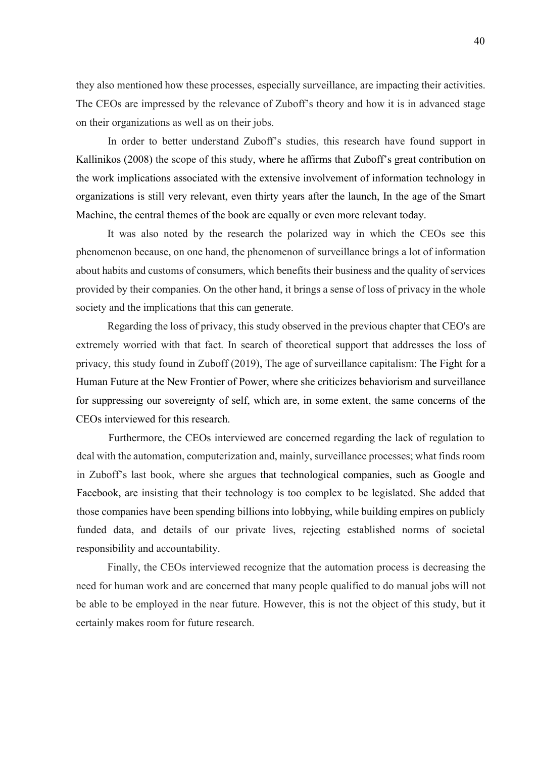they also mentioned how these processes, especially surveillance, are impacting their activities. The CEOs are impressed by the relevance of Zuboff's theory and how it is in advanced stage on their organizations as well as on their jobs.

In order to better understand Zuboff's studies, this research have found support in Kallinikos (2008) the scope of this study, where he affirms that Zuboff's great contribution on the work implications associated with the extensive involvement of information technology in organizations is still very relevant, even thirty years after the launch, In the age of the Smart Machine, the central themes of the book are equally or even more relevant today.

It was also noted by the research the polarized way in which the CEOs see this phenomenon because, on one hand, the phenomenon of surveillance brings a lot of information about habits and customs of consumers, which benefits their business and the quality of services provided by their companies. On the other hand, it brings a sense of loss of privacy in the whole society and the implications that this can generate.

Regarding the loss of privacy, this study observed in the previous chapter that CEO's are extremely worried with that fact. In search of theoretical support that addresses the loss of privacy, this study found in Zuboff (2019), The age of surveillance capitalism: The Fight for a Human Future at the New Frontier of Power, where she criticizes behaviorism and surveillance for suppressing our sovereignty of self, which are, in some extent, the same concerns of the CEOs interviewed for this research.

Furthermore, the CEOs interviewed are concerned regarding the lack of regulation to deal with the automation, computerization and, mainly, surveillance processes; what finds room in Zuboff's last book, where she argues that technological companies, such as Google and Facebook, are insisting that their technology is too complex to be legislated. She added that those companies have been spending billions into lobbying, while building empires on publicly funded data, and details of our private lives, rejecting established norms of societal responsibility and accountability.

Finally, the CEOs interviewed recognize that the automation process is decreasing the need for human work and are concerned that many people qualified to do manual jobs will not be able to be employed in the near future. However, this is not the object of this study, but it certainly makes room for future research.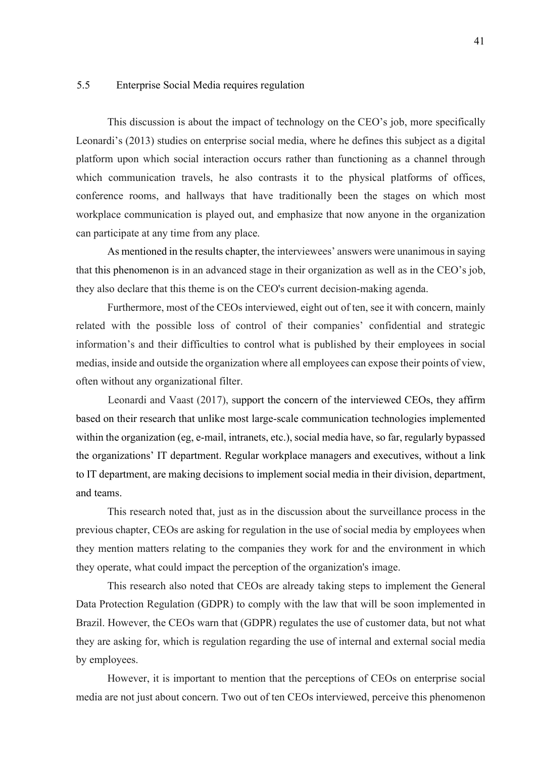#### 5.5 Enterprise Social Media requires regulation

This discussion is about the impact of technology on the CEO's job, more specifically Leonardi's (2013) studies on enterprise social media, where he defines this subject as a digital platform upon which social interaction occurs rather than functioning as a channel through which communication travels, he also contrasts it to the physical platforms of offices, conference rooms, and hallways that have traditionally been the stages on which most workplace communication is played out, and emphasize that now anyone in the organization can participate at any time from any place.

As mentioned in the results chapter, the interviewees' answers were unanimous in saying that this phenomenon is in an advanced stage in their organization as well as in the CEO's job, they also declare that this theme is on the CEO's current decision-making agenda.

Furthermore, most of the CEOs interviewed, eight out of ten, see it with concern, mainly related with the possible loss of control of their companies' confidential and strategic information's and their difficulties to control what is published by their employees in social medias, inside and outside the organization where all employees can expose their points of view, often without any organizational filter.

Leonardi and Vaast (2017), support the concern of the interviewed CEOs, they affirm based on their research that unlike most large-scale communication technologies implemented within the organization (eg, e-mail, intranets, etc.), social media have, so far, regularly bypassed the organizations' IT department. Regular workplace managers and executives, without a link to IT department, are making decisions to implement social media in their division, department, and teams.

This research noted that, just as in the discussion about the surveillance process in the previous chapter, CEOs are asking for regulation in the use of social media by employees when they mention matters relating to the companies they work for and the environment in which they operate, what could impact the perception of the organization's image.

This research also noted that CEOs are already taking steps to implement the General Data Protection Regulation (GDPR) to comply with the law that will be soon implemented in Brazil. However, the CEOs warn that (GDPR) regulates the use of customer data, but not what they are asking for, which is regulation regarding the use of internal and external social media by employees.

However, it is important to mention that the perceptions of CEOs on enterprise social media are not just about concern. Two out of ten CEOs interviewed, perceive this phenomenon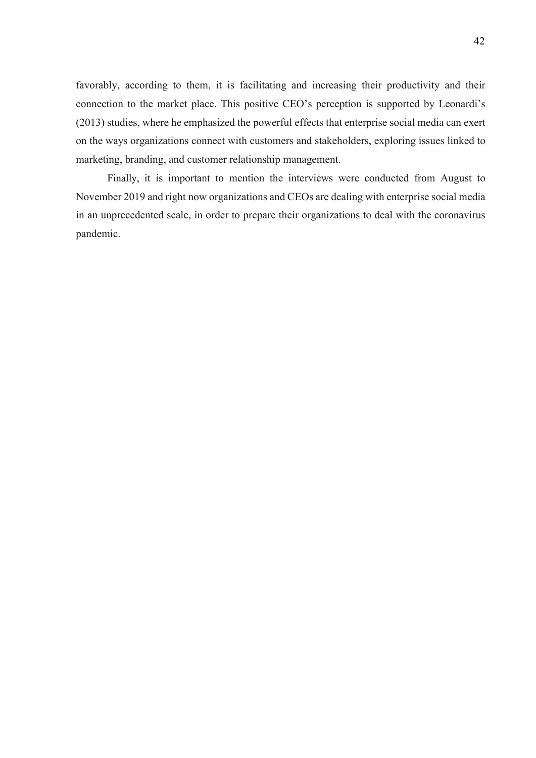favorably, according to them, it is facilitating and increasing their productivity and their connection to the market place. This positive CEO's perception is supported by Leonardi's (2013) studies, where he emphasized the powerful effects that enterprise social media can exert on the ways organizations connect with customers and stakeholders, exploring issues linked to marketing, branding, and customer relationship management.

Finally, it is important to mention the interviews were conducted from August to November 2019 and right now organizations and CEOs are dealing with enterprise social media in an unprecedented scale, in order to prepare their organizations to deal with the coronavirus pandemic.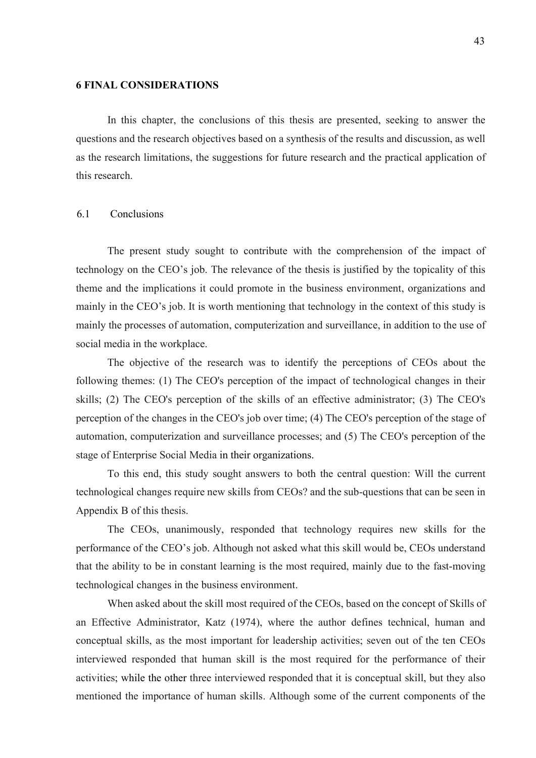#### 6 FINAL CONSIDERATIONS

In this chapter, the conclusions of this thesis are presented, seeking to answer the questions and the research objectives based on a synthesis of the results and discussion, as well as the research limitations, the suggestions for future research and the practical application of this research.

#### 6.1 Conclusions

The present study sought to contribute with the comprehension of the impact of technology on the CEO's job. The relevance of the thesis is justified by the topicality of this theme and the implications it could promote in the business environment, organizations and mainly in the CEO's job. It is worth mentioning that technology in the context of this study is mainly the processes of automation, computerization and surveillance, in addition to the use of social media in the workplace.

The objective of the research was to identify the perceptions of CEOs about the following themes: (1) The CEO's perception of the impact of technological changes in their skills; (2) The CEO's perception of the skills of an effective administrator; (3) The CEO's perception of the changes in the CEO's job over time; (4) The CEO's perception of the stage of automation, computerization and surveillance processes; and (5) The CEO's perception of the stage of Enterprise Social Media in their organizations.

To this end, this study sought answers to both the central question: Will the current technological changes require new skills from CEOs? and the sub-questions that can be seen in Appendix B of this thesis.

The CEOs, unanimously, responded that technology requires new skills for the performance of the CEO's job. Although not asked what this skill would be, CEOs understand that the ability to be in constant learning is the most required, mainly due to the fast-moving technological changes in the business environment.

When asked about the skill most required of the CEOs, based on the concept of Skills of an Effective Administrator, Katz (1974), where the author defines technical, human and conceptual skills, as the most important for leadership activities; seven out of the ten CEOs interviewed responded that human skill is the most required for the performance of their activities; while the other three interviewed responded that it is conceptual skill, but they also mentioned the importance of human skills. Although some of the current components of the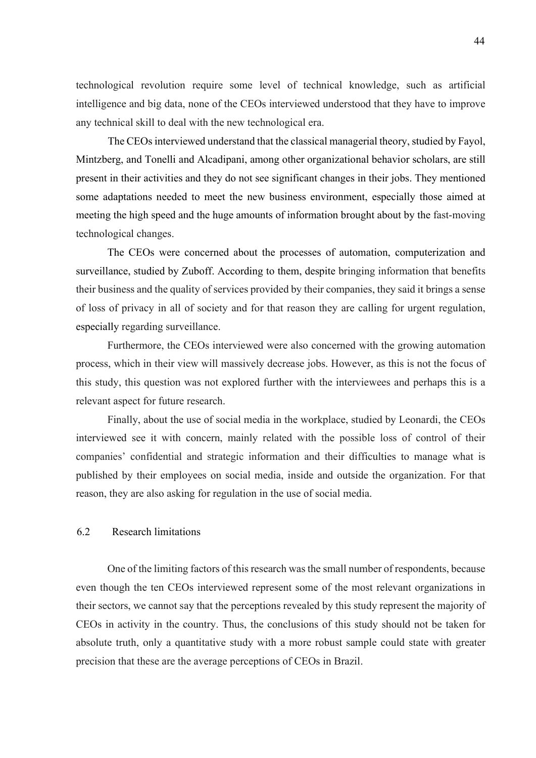technological revolution require some level of technical knowledge, such as artificial intelligence and big data, none of the CEOs interviewed understood that they have to improve any technical skill to deal with the new technological era.

The CEOs interviewed understand that the classical managerial theory, studied by Fayol, Mintzberg, and Tonelli and Alcadipani, among other organizational behavior scholars, are still present in their activities and they do not see significant changes in their jobs. They mentioned some adaptations needed to meet the new business environment, especially those aimed at meeting the high speed and the huge amounts of information brought about by the fast-moving technological changes.

The CEOs were concerned about the processes of automation, computerization and surveillance, studied by Zuboff. According to them, despite bringing information that benefits their business and the quality of services provided by their companies, they said it brings a sense of loss of privacy in all of society and for that reason they are calling for urgent regulation, especially regarding surveillance.

Furthermore, the CEOs interviewed were also concerned with the growing automation process, which in their view will massively decrease jobs. However, as this is not the focus of this study, this question was not explored further with the interviewees and perhaps this is a relevant aspect for future research.

Finally, about the use of social media in the workplace, studied by Leonardi, the CEOs interviewed see it with concern, mainly related with the possible loss of control of their companies' confidential and strategic information and their difficulties to manage what is published by their employees on social media, inside and outside the organization. For that reason, they are also asking for regulation in the use of social media.

#### 6.2 Research limitations

One of the limiting factors of this research was the small number of respondents, because even though the ten CEOs interviewed represent some of the most relevant organizations in their sectors, we cannot say that the perceptions revealed by this study represent the majority of CEOs in activity in the country. Thus, the conclusions of this study should not be taken for absolute truth, only a quantitative study with a more robust sample could state with greater precision that these are the average perceptions of CEOs in Brazil.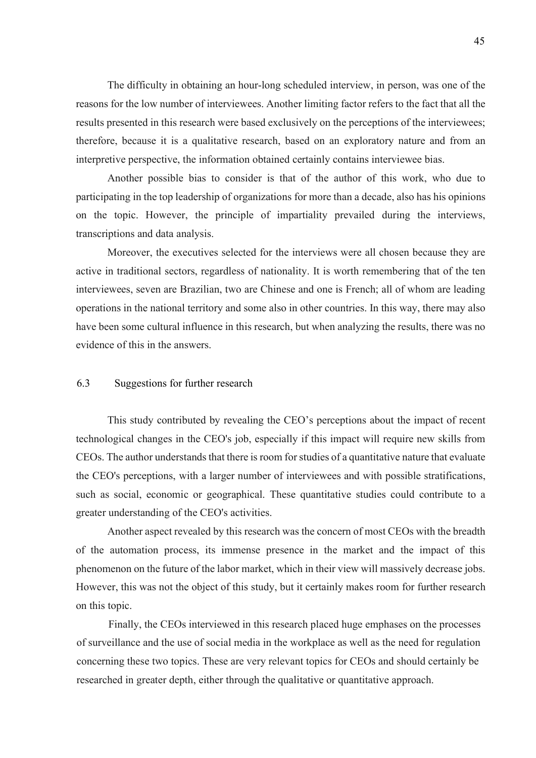The difficulty in obtaining an hour-long scheduled interview, in person, was one of the reasons for the low number of interviewees. Another limiting factor refers to the fact that all the results presented in this research were based exclusively on the perceptions of the interviewees; therefore, because it is a qualitative research, based on an exploratory nature and from an interpretive perspective, the information obtained certainly contains interviewee bias.

Another possible bias to consider is that of the author of this work, who due to participating in the top leadership of organizations for more than a decade, also has his opinions on the topic. However, the principle of impartiality prevailed during the interviews, transcriptions and data analysis.

Moreover, the executives selected for the interviews were all chosen because they are active in traditional sectors, regardless of nationality. It is worth remembering that of the ten interviewees, seven are Brazilian, two are Chinese and one is French; all of whom are leading operations in the national territory and some also in other countries. In this way, there may also have been some cultural influence in this research, but when analyzing the results, there was no evidence of this in the answers.

#### 6.3 Suggestions for further research

This study contributed by revealing the CEO's perceptions about the impact of recent technological changes in the CEO's job, especially if this impact will require new skills from CEOs. The author understands that there is room for studies of a quantitative nature that evaluate the CEO's perceptions, with a larger number of interviewees and with possible stratifications, such as social, economic or geographical. These quantitative studies could contribute to a greater understanding of the CEO's activities.

Another aspect revealed by this research was the concern of most CEOs with the breadth of the automation process, its immense presence in the market and the impact of this phenomenon on the future of the labor market, which in their view will massively decrease jobs. However, this was not the object of this study, but it certainly makes room for further research on this topic.

Finally, the CEOs interviewed in this research placed huge emphases on the processes of surveillance and the use of social media in the workplace as well as the need for regulation concerning these two topics. These are very relevant topics for CEOs and should certainly be researched in greater depth, either through the qualitative or quantitative approach.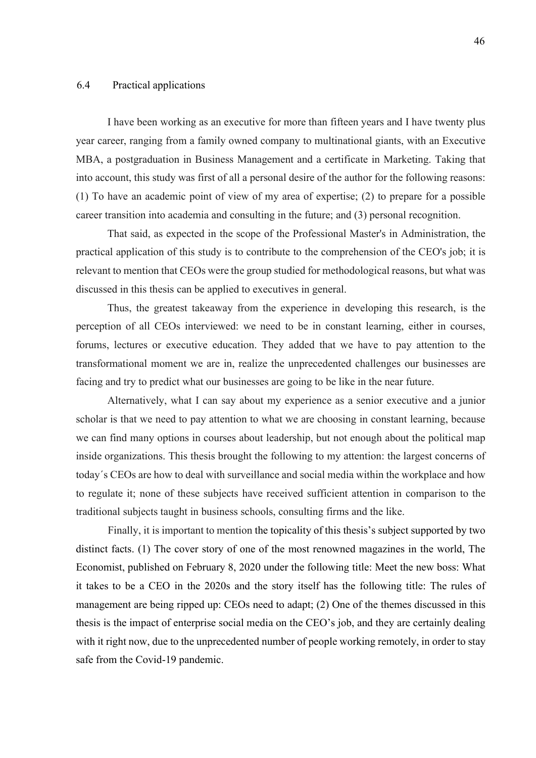#### 6.4 Practical applications

I have been working as an executive for more than fifteen years and I have twenty plus year career, ranging from a family owned company to multinational giants, with an Executive MBA, a postgraduation in Business Management and a certificate in Marketing. Taking that into account, this study was first of all a personal desire of the author for the following reasons: (1) To have an academic point of view of my area of expertise; (2) to prepare for a possible career transition into academia and consulting in the future; and (3) personal recognition.

That said, as expected in the scope of the Professional Master's in Administration, the practical application of this study is to contribute to the comprehension of the CEO's job; it is relevant to mention that CEOs were the group studied for methodological reasons, but what was discussed in this thesis can be applied to executives in general.

Thus, the greatest takeaway from the experience in developing this research, is the perception of all CEOs interviewed: we need to be in constant learning, either in courses, forums, lectures or executive education. They added that we have to pay attention to the transformational moment we are in, realize the unprecedented challenges our businesses are facing and try to predict what our businesses are going to be like in the near future.

Alternatively, what I can say about my experience as a senior executive and a junior scholar is that we need to pay attention to what we are choosing in constant learning, because we can find many options in courses about leadership, but not enough about the political map inside organizations. This thesis brought the following to my attention: the largest concerns of today´s CEOs are how to deal with surveillance and social media within the workplace and how to regulate it; none of these subjects have received sufficient attention in comparison to the traditional subjects taught in business schools, consulting firms and the like.

Finally, it is important to mention the topicality of this thesis's subject supported by two distinct facts. (1) The cover story of one of the most renowned magazines in the world, The Economist, published on February 8, 2020 under the following title: Meet the new boss: What it takes to be a CEO in the 2020s and the story itself has the following title: The rules of management are being ripped up: CEOs need to adapt; (2) One of the themes discussed in this thesis is the impact of enterprise social media on the CEO's job, and they are certainly dealing with it right now, due to the unprecedented number of people working remotely, in order to stay safe from the Covid-19 pandemic.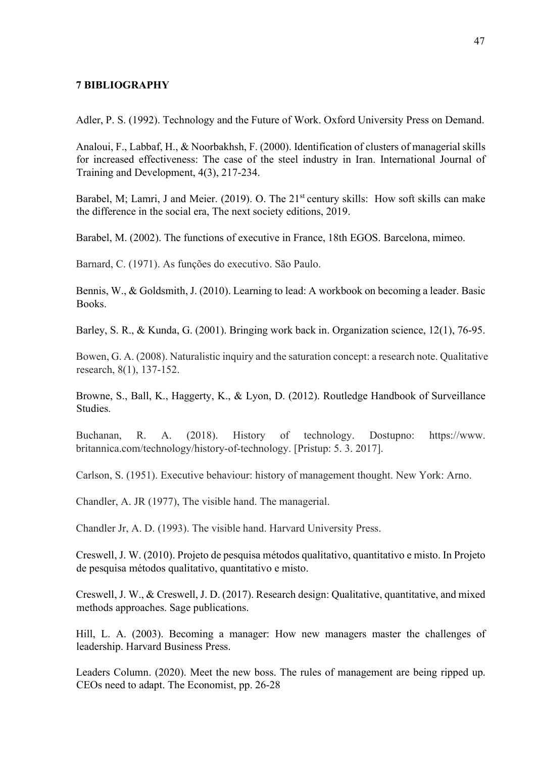#### 7 BIBLIOGRAPHY

Adler, P. S. (1992). Technology and the Future of Work. Oxford University Press on Demand.

Analoui, F., Labbaf, H., & Noorbakhsh, F. (2000). Identification of clusters of managerial skills for increased effectiveness: The case of the steel industry in Iran. International Journal of Training and Development, 4(3), 217-234.

Barabel, M; Lamri, J and Meier.  $(2019)$ . O. The  $21<sup>st</sup>$  century skills: How soft skills can make the difference in the social era, The next society editions, 2019.

Barabel, M. (2002). The functions of executive in France, 18th EGOS. Barcelona, mimeo.

Barnard, C. (1971). As funções do executivo. São Paulo.

Bennis, W., & Goldsmith, J. (2010). Learning to lead: A workbook on becoming a leader. Basic Books.

Barley, S. R., & Kunda, G. (2001). Bringing work back in. Organization science, 12(1), 76-95.

Bowen, G. A. (2008). Naturalistic inquiry and the saturation concept: a research note. Qualitative research, 8(1), 137-152.

Browne, S., Ball, K., Haggerty, K., & Lyon, D. (2012). Routledge Handbook of Surveillance Studies.

Buchanan, R. A. (2018). History of technology. Dostupno: https://www. britannica.com/technology/history-of-technology. [Pristup: 5. 3. 2017].

Carlson, S. (1951). Executive behaviour: history of management thought. New York: Arno.

Chandler, A. JR (1977), The visible hand. The managerial.

Chandler Jr, A. D. (1993). The visible hand. Harvard University Press.

Creswell, J. W. (2010). Projeto de pesquisa métodos qualitativo, quantitativo e misto. In Projeto de pesquisa métodos qualitativo, quantitativo e misto.

Creswell, J. W., & Creswell, J. D. (2017). Research design: Qualitative, quantitative, and mixed methods approaches. Sage publications.

Hill, L. A. (2003). Becoming a manager: How new managers master the challenges of leadership. Harvard Business Press.

Leaders Column. (2020). Meet the new boss. The rules of management are being ripped up. CEOs need to adapt. The Economist, pp. 26-28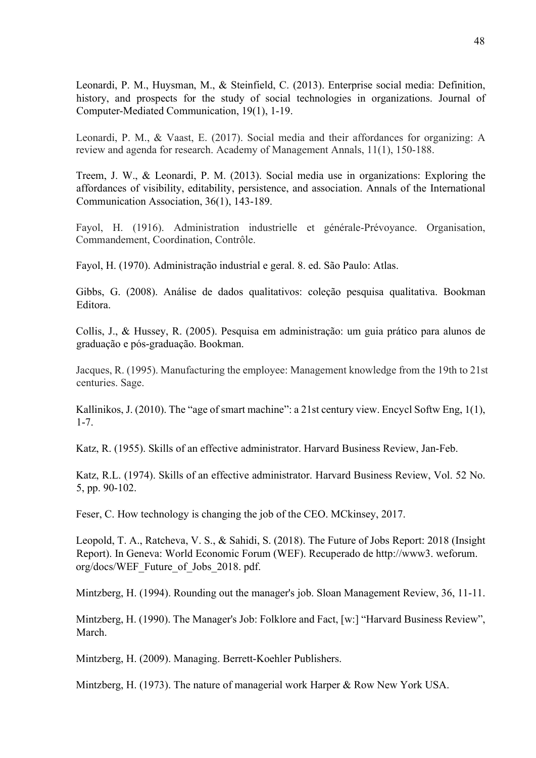Leonardi, P. M., Huysman, M., & Steinfield, C. (2013). Enterprise social media: Definition, history, and prospects for the study of social technologies in organizations. Journal of Computer-Mediated Communication, 19(1), 1-19.

Leonardi, P. M., & Vaast, E. (2017). Social media and their affordances for organizing: A review and agenda for research. Academy of Management Annals, 11(1), 150-188.

Treem, J. W., & Leonardi, P. M. (2013). Social media use in organizations: Exploring the affordances of visibility, editability, persistence, and association. Annals of the International Communication Association, 36(1), 143-189.

Fayol, H. (1916). Administration industrielle et générale-Prévoyance. Organisation, Commandement, Coordination, Contrôle.

Fayol, H. (1970). Administração industrial e geral. 8. ed. São Paulo: Atlas.

Gibbs, G. (2008). Análise de dados qualitativos: coleção pesquisa qualitativa. Bookman Editora.

Collis, J., & Hussey, R. (2005). Pesquisa em administração: um guia prático para alunos de graduação e pós-graduação. Bookman.

Jacques, R. (1995). Manufacturing the employee: Management knowledge from the 19th to 21st centuries. Sage.

Kallinikos, J. (2010). The "age of smart machine": a 21st century view. Encycl Softw Eng, 1(1), 1-7.

Katz, R. (1955). Skills of an effective administrator. Harvard Business Review, Jan-Feb.

Katz, R.L. (1974). Skills of an effective administrator. Harvard Business Review, Vol. 52 No. 5, pp. 90-102.

Feser, C. How technology is changing the job of the CEO. MCkinsey, 2017.

Leopold, T. A., Ratcheva, V. S., & Sahidi, S. (2018). The Future of Jobs Report: 2018 (Insight Report). In Geneva: World Economic Forum (WEF). Recuperado de http://www3. weforum. org/docs/WEF\_Future\_of\_Jobs\_2018. pdf.

Mintzberg, H. (1994). Rounding out the manager's job. Sloan Management Review, 36, 11-11.

Mintzberg, H. (1990). The Manager's Job: Folklore and Fact, [w:] "Harvard Business Review", March.

Mintzberg, H. (2009). Managing. Berrett-Koehler Publishers.

Mintzberg, H. (1973). The nature of managerial work Harper & Row New York USA.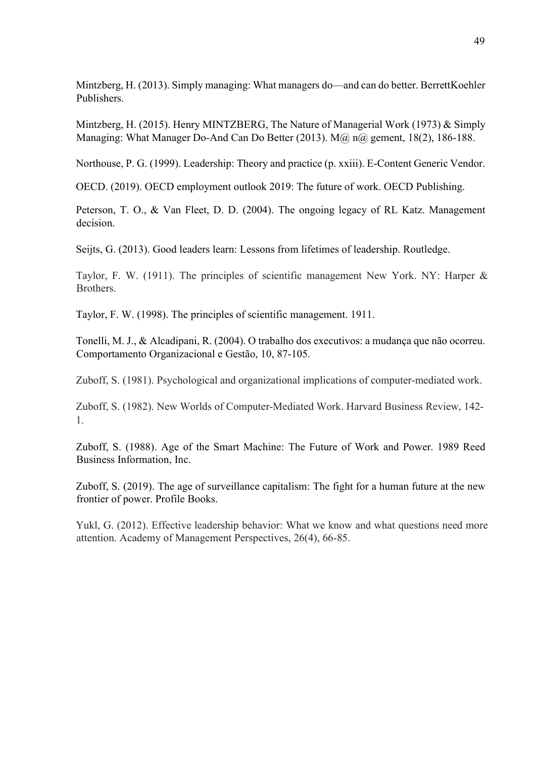Mintzberg, H. (2013). Simply managing: What managers do—and can do better. BerrettKoehler Publishers.

Mintzberg, H. (2015). Henry MINTZBERG, The Nature of Managerial Work (1973) & Simply Managing: What Manager Do-And Can Do Better (2013). M@ n@ gement, 18(2), 186-188.

Northouse, P. G. (1999). Leadership: Theory and practice (p. xxiii). E-Content Generic Vendor.

OECD. (2019). OECD employment outlook 2019: The future of work. OECD Publishing.

Peterson, T. O., & Van Fleet, D. D. (2004). The ongoing legacy of RL Katz. Management decision.

Seijts, G. (2013). Good leaders learn: Lessons from lifetimes of leadership. Routledge.

Taylor, F. W. (1911). The principles of scientific management New York. NY: Harper & Brothers.

Taylor, F. W. (1998). The principles of scientific management. 1911.

Tonelli, M. J., & Alcadipani, R. (2004). O trabalho dos executivos: a mudança que não ocorreu. Comportamento Organizacional e Gestão, 10, 87-105.

Zuboff, S. (1981). Psychological and organizational implications of computer-mediated work.

Zuboff, S. (1982). New Worlds of Computer-Mediated Work. Harvard Business Review, 142- 1.

Zuboff, S. (1988). Age of the Smart Machine: The Future of Work and Power. 1989 Reed Business Information, Inc.

Zuboff, S. (2019). The age of surveillance capitalism: The fight for a human future at the new frontier of power. Profile Books.

Yukl, G. (2012). Effective leadership behavior: What we know and what questions need more attention. Academy of Management Perspectives, 26(4), 66-85.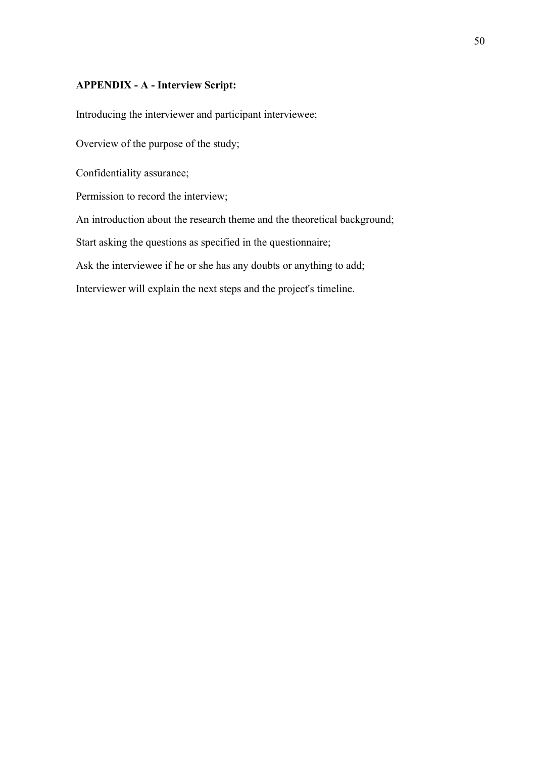#### APPENDIX - A - Interview Script:

Introducing the interviewer and participant interviewee;

Overview of the purpose of the study;

Confidentiality assurance;

Permission to record the interview;

An introduction about the research theme and the theoretical background;

Start asking the questions as specified in the questionnaire;

Ask the interviewee if he or she has any doubts or anything to add;

Interviewer will explain the next steps and the project's timeline.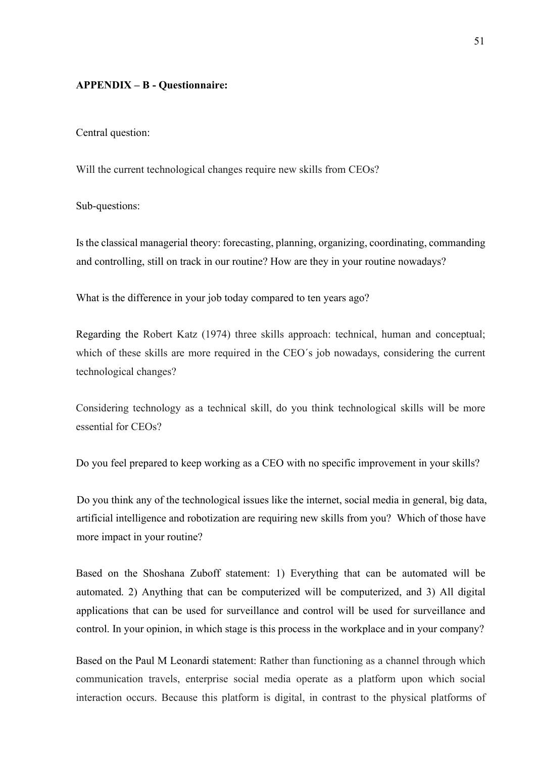#### APPENDIX – B - Questionnaire:

Central question:

Will the current technological changes require new skills from CEOs?

Sub-questions:

Is the classical managerial theory: forecasting, planning, organizing, coordinating, commanding and controlling, still on track in our routine? How are they in your routine nowadays?

What is the difference in your job today compared to ten years ago?

Regarding the Robert Katz (1974) three skills approach: technical, human and conceptual; which of these skills are more required in the CEO´s job nowadays, considering the current technological changes?

Considering technology as a technical skill, do you think technological skills will be more essential for CEOs?

Do you feel prepared to keep working as a CEO with no specific improvement in your skills?

Do you think any of the technological issues like the internet, social media in general, big data, artificial intelligence and robotization are requiring new skills from you? Which of those have more impact in your routine?

Based on the Shoshana Zuboff statement: 1) Everything that can be automated will be automated. 2) Anything that can be computerized will be computerized, and 3) All digital applications that can be used for surveillance and control will be used for surveillance and control. In your opinion, in which stage is this process in the workplace and in your company?

Based on the Paul M Leonardi statement: Rather than functioning as a channel through which communication travels, enterprise social media operate as a platform upon which social interaction occurs. Because this platform is digital, in contrast to the physical platforms of